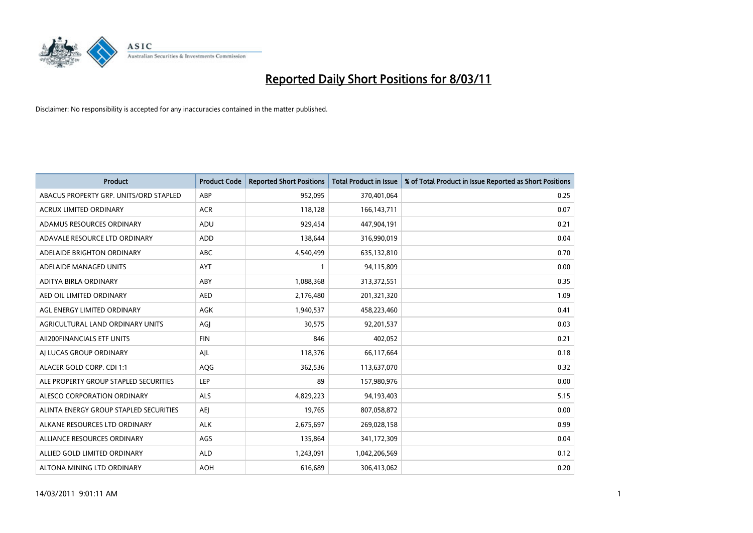

| Product                                | <b>Product Code</b> | <b>Reported Short Positions</b> | <b>Total Product in Issue</b> | % of Total Product in Issue Reported as Short Positions |
|----------------------------------------|---------------------|---------------------------------|-------------------------------|---------------------------------------------------------|
| ABACUS PROPERTY GRP. UNITS/ORD STAPLED | ABP                 | 952,095                         | 370,401,064                   | 0.25                                                    |
| <b>ACRUX LIMITED ORDINARY</b>          | <b>ACR</b>          | 118,128                         | 166, 143, 711                 | 0.07                                                    |
| ADAMUS RESOURCES ORDINARY              | ADU                 | 929,454                         | 447,904,191                   | 0.21                                                    |
| ADAVALE RESOURCE LTD ORDINARY          | <b>ADD</b>          | 138,644                         | 316,990,019                   | 0.04                                                    |
| ADELAIDE BRIGHTON ORDINARY             | <b>ABC</b>          | 4,540,499                       | 635,132,810                   | 0.70                                                    |
| ADELAIDE MANAGED UNITS                 | <b>AYT</b>          |                                 | 94,115,809                    | 0.00                                                    |
| ADITYA BIRLA ORDINARY                  | ABY                 | 1,088,368                       | 313,372,551                   | 0.35                                                    |
| AED OIL LIMITED ORDINARY               | <b>AED</b>          | 2,176,480                       | 201,321,320                   | 1.09                                                    |
| AGL ENERGY LIMITED ORDINARY            | <b>AGK</b>          | 1,940,537                       | 458,223,460                   | 0.41                                                    |
| AGRICULTURAL LAND ORDINARY UNITS       | AGI                 | 30,575                          | 92,201,537                    | 0.03                                                    |
| AII200FINANCIALS ETF UNITS             | <b>FIN</b>          | 846                             | 402,052                       | 0.21                                                    |
| AI LUCAS GROUP ORDINARY                | AJL                 | 118,376                         | 66,117,664                    | 0.18                                                    |
| ALACER GOLD CORP. CDI 1:1              | AQG                 | 362,536                         | 113,637,070                   | 0.32                                                    |
| ALE PROPERTY GROUP STAPLED SECURITIES  | LEP                 | 89                              | 157,980,976                   | 0.00                                                    |
| ALESCO CORPORATION ORDINARY            | <b>ALS</b>          | 4,829,223                       | 94,193,403                    | 5.15                                                    |
| ALINTA ENERGY GROUP STAPLED SECURITIES | <b>AEI</b>          | 19,765                          | 807,058,872                   | 0.00                                                    |
| ALKANE RESOURCES LTD ORDINARY          | <b>ALK</b>          | 2,675,697                       | 269,028,158                   | 0.99                                                    |
| ALLIANCE RESOURCES ORDINARY            | AGS                 | 135,864                         | 341,172,309                   | 0.04                                                    |
| ALLIED GOLD LIMITED ORDINARY           | <b>ALD</b>          | 1,243,091                       | 1,042,206,569                 | 0.12                                                    |
| ALTONA MINING LTD ORDINARY             | <b>AOH</b>          | 616,689                         | 306,413,062                   | 0.20                                                    |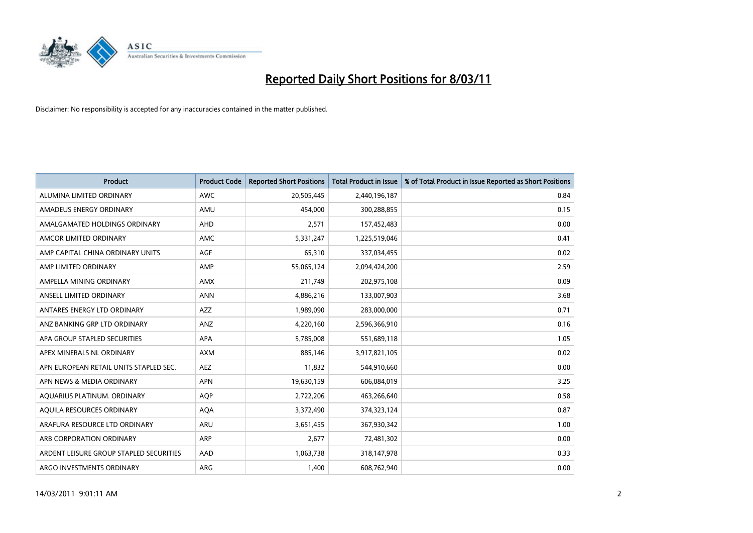

| <b>Product</b>                          | <b>Product Code</b> | <b>Reported Short Positions</b> | Total Product in Issue | % of Total Product in Issue Reported as Short Positions |
|-----------------------------------------|---------------------|---------------------------------|------------------------|---------------------------------------------------------|
| ALUMINA LIMITED ORDINARY                | <b>AWC</b>          | 20,505,445                      | 2,440,196,187          | 0.84                                                    |
| AMADEUS ENERGY ORDINARY                 | AMU                 | 454.000                         | 300,288,855            | 0.15                                                    |
| AMALGAMATED HOLDINGS ORDINARY           | AHD                 | 2,571                           | 157,452,483            | 0.00                                                    |
| AMCOR LIMITED ORDINARY                  | <b>AMC</b>          | 5,331,247                       | 1,225,519,046          | 0.41                                                    |
| AMP CAPITAL CHINA ORDINARY UNITS        | <b>AGF</b>          | 65,310                          | 337,034,455            | 0.02                                                    |
| AMP LIMITED ORDINARY                    | AMP                 | 55,065,124                      | 2,094,424,200          | 2.59                                                    |
| AMPELLA MINING ORDINARY                 | <b>AMX</b>          | 211,749                         | 202,975,108            | 0.09                                                    |
| ANSELL LIMITED ORDINARY                 | <b>ANN</b>          | 4,886,216                       | 133,007,903            | 3.68                                                    |
| ANTARES ENERGY LTD ORDINARY             | <b>AZZ</b>          | 1,989,090                       | 283,000,000            | 0.71                                                    |
| ANZ BANKING GRP LTD ORDINARY            | ANZ                 | 4,220,160                       | 2,596,366,910          | 0.16                                                    |
| APA GROUP STAPLED SECURITIES            | <b>APA</b>          | 5,785,008                       | 551,689,118            | 1.05                                                    |
| APEX MINERALS NL ORDINARY               | <b>AXM</b>          | 885,146                         | 3,917,821,105          | 0.02                                                    |
| APN EUROPEAN RETAIL UNITS STAPLED SEC.  | <b>AEZ</b>          | 11.832                          | 544,910,660            | 0.00                                                    |
| APN NEWS & MEDIA ORDINARY               | <b>APN</b>          | 19,630,159                      | 606,084,019            | 3.25                                                    |
| AQUARIUS PLATINUM. ORDINARY             | <b>AOP</b>          | 2,722,206                       | 463,266,640            | 0.58                                                    |
| AQUILA RESOURCES ORDINARY               | <b>AQA</b>          | 3,372,490                       | 374,323,124            | 0.87                                                    |
| ARAFURA RESOURCE LTD ORDINARY           | <b>ARU</b>          | 3,651,455                       | 367,930,342            | 1.00                                                    |
| ARB CORPORATION ORDINARY                | <b>ARP</b>          | 2,677                           | 72,481,302             | 0.00                                                    |
| ARDENT LEISURE GROUP STAPLED SECURITIES | AAD                 | 1,063,738                       | 318,147,978            | 0.33                                                    |
| ARGO INVESTMENTS ORDINARY               | ARG                 | 1,400                           | 608,762,940            | 0.00                                                    |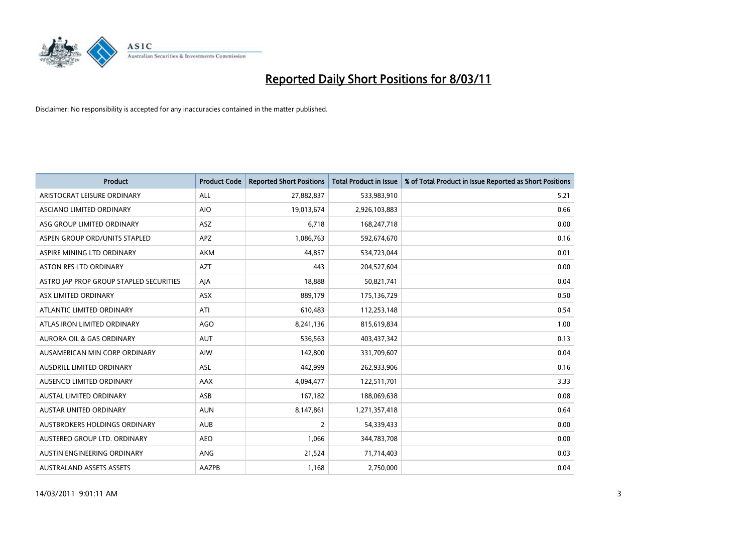

| <b>Product</b>                          | <b>Product Code</b> | <b>Reported Short Positions</b> | Total Product in Issue | % of Total Product in Issue Reported as Short Positions |
|-----------------------------------------|---------------------|---------------------------------|------------------------|---------------------------------------------------------|
| ARISTOCRAT LEISURE ORDINARY             | <b>ALL</b>          | 27,882,837                      | 533,983,910            | 5.21                                                    |
| <b>ASCIANO LIMITED ORDINARY</b>         | <b>AIO</b>          | 19,013,674                      | 2,926,103,883          | 0.66                                                    |
| ASG GROUP LIMITED ORDINARY              | ASZ                 | 6,718                           | 168,247,718            | 0.00                                                    |
| ASPEN GROUP ORD/UNITS STAPLED           | <b>APZ</b>          | 1,086,763                       | 592,674,670            | 0.16                                                    |
| ASPIRE MINING LTD ORDINARY              | <b>AKM</b>          | 44.857                          | 534,723,044            | 0.01                                                    |
| <b>ASTON RES LTD ORDINARY</b>           | <b>AZT</b>          | 443                             | 204,527,604            | 0.00                                                    |
| ASTRO JAP PROP GROUP STAPLED SECURITIES | AJA                 | 18,888                          | 50,821,741             | 0.04                                                    |
| ASX LIMITED ORDINARY                    | <b>ASX</b>          | 889,179                         | 175,136,729            | 0.50                                                    |
| ATLANTIC LIMITED ORDINARY               | ATI                 | 610,483                         | 112,253,148            | 0.54                                                    |
| ATLAS IRON LIMITED ORDINARY             | <b>AGO</b>          | 8,241,136                       | 815,619,834            | 1.00                                                    |
| AURORA OIL & GAS ORDINARY               | <b>AUT</b>          | 536,563                         | 403,437,342            | 0.13                                                    |
| AUSAMERICAN MIN CORP ORDINARY           | AIW                 | 142,800                         | 331,709,607            | 0.04                                                    |
| AUSDRILL LIMITED ORDINARY               | <b>ASL</b>          | 442.999                         | 262,933,906            | 0.16                                                    |
| AUSENCO LIMITED ORDINARY                | <b>AAX</b>          | 4,094,477                       | 122,511,701            | 3.33                                                    |
| AUSTAL LIMITED ORDINARY                 | ASB                 | 167,182                         | 188,069,638            | 0.08                                                    |
| <b>AUSTAR UNITED ORDINARY</b>           | <b>AUN</b>          | 8,147,861                       | 1,271,357,418          | 0.64                                                    |
| AUSTBROKERS HOLDINGS ORDINARY           | <b>AUB</b>          | $\overline{2}$                  | 54,339,433             | 0.00                                                    |
| AUSTEREO GROUP LTD. ORDINARY            | <b>AEO</b>          | 1,066                           | 344,783,708            | 0.00                                                    |
| AUSTIN ENGINEERING ORDINARY             | ANG                 | 21,524                          | 71,714,403             | 0.03                                                    |
| <b>AUSTRALAND ASSETS ASSETS</b>         | <b>AAZPB</b>        | 1,168                           | 2,750,000              | 0.04                                                    |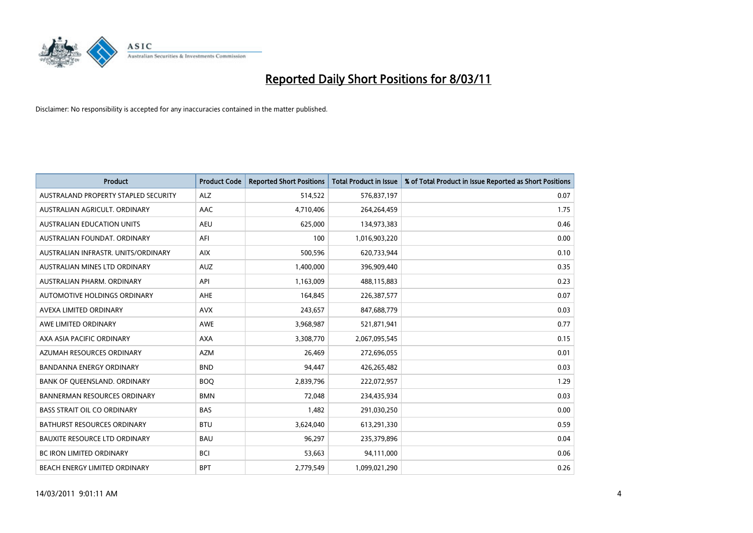

| <b>Product</b>                       | <b>Product Code</b> | <b>Reported Short Positions</b> | Total Product in Issue | % of Total Product in Issue Reported as Short Positions |
|--------------------------------------|---------------------|---------------------------------|------------------------|---------------------------------------------------------|
| AUSTRALAND PROPERTY STAPLED SECURITY | <b>ALZ</b>          | 514,522                         | 576,837,197            | 0.07                                                    |
| AUSTRALIAN AGRICULT, ORDINARY        | AAC                 | 4,710,406                       | 264,264,459            | 1.75                                                    |
| <b>AUSTRALIAN EDUCATION UNITS</b>    | <b>AEU</b>          | 625,000                         | 134,973,383            | 0.46                                                    |
| AUSTRALIAN FOUNDAT. ORDINARY         | AFI                 | 100                             | 1,016,903,220          | 0.00                                                    |
| AUSTRALIAN INFRASTR, UNITS/ORDINARY  | <b>AIX</b>          | 500,596                         | 620,733,944            | 0.10                                                    |
| AUSTRALIAN MINES LTD ORDINARY        | <b>AUZ</b>          | 1,400,000                       | 396,909,440            | 0.35                                                    |
| AUSTRALIAN PHARM, ORDINARY           | API                 | 1,163,009                       | 488,115,883            | 0.23                                                    |
| <b>AUTOMOTIVE HOLDINGS ORDINARY</b>  | <b>AHE</b>          | 164,845                         | 226,387,577            | 0.07                                                    |
| AVEXA LIMITED ORDINARY               | <b>AVX</b>          | 243,657                         | 847,688,779            | 0.03                                                    |
| AWE LIMITED ORDINARY                 | <b>AWE</b>          | 3,968,987                       | 521,871,941            | 0.77                                                    |
| AXA ASIA PACIFIC ORDINARY            | <b>AXA</b>          | 3,308,770                       | 2,067,095,545          | 0.15                                                    |
| AZUMAH RESOURCES ORDINARY            | <b>AZM</b>          | 26,469                          | 272,696,055            | 0.01                                                    |
| <b>BANDANNA ENERGY ORDINARY</b>      | <b>BND</b>          | 94.447                          | 426,265,482            | 0.03                                                    |
| BANK OF QUEENSLAND. ORDINARY         | <b>BOO</b>          | 2,839,796                       | 222,072,957            | 1.29                                                    |
| <b>BANNERMAN RESOURCES ORDINARY</b>  | <b>BMN</b>          | 72,048                          | 234,435,934            | 0.03                                                    |
| <b>BASS STRAIT OIL CO ORDINARY</b>   | <b>BAS</b>          | 1,482                           | 291,030,250            | 0.00                                                    |
| <b>BATHURST RESOURCES ORDINARY</b>   | <b>BTU</b>          | 3,624,040                       | 613,291,330            | 0.59                                                    |
| BAUXITE RESOURCE LTD ORDINARY        | <b>BAU</b>          | 96,297                          | 235,379,896            | 0.04                                                    |
| <b>BC IRON LIMITED ORDINARY</b>      | <b>BCI</b>          | 53,663                          | 94,111,000             | 0.06                                                    |
| BEACH ENERGY LIMITED ORDINARY        | <b>BPT</b>          | 2,779,549                       | 1,099,021,290          | 0.26                                                    |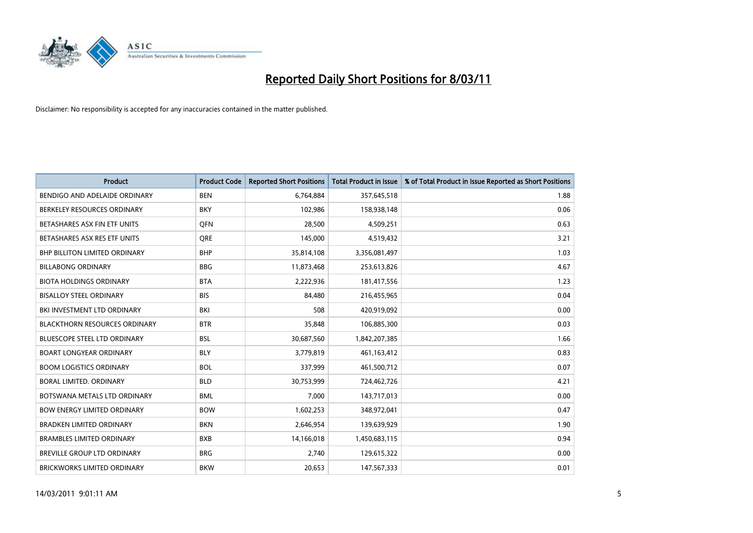

| Product                              | <b>Product Code</b> | <b>Reported Short Positions</b> | <b>Total Product in Issue</b> | % of Total Product in Issue Reported as Short Positions |
|--------------------------------------|---------------------|---------------------------------|-------------------------------|---------------------------------------------------------|
| BENDIGO AND ADELAIDE ORDINARY        | <b>BEN</b>          | 6,764,884                       | 357,645,518                   | 1.88                                                    |
| BERKELEY RESOURCES ORDINARY          | <b>BKY</b>          | 102,986                         | 158,938,148                   | 0.06                                                    |
| BETASHARES ASX FIN ETF UNITS         | <b>OFN</b>          | 28,500                          | 4,509,251                     | 0.63                                                    |
| BETASHARES ASX RES ETF UNITS         | <b>ORE</b>          | 145,000                         | 4,519,432                     | 3.21                                                    |
| BHP BILLITON LIMITED ORDINARY        | <b>BHP</b>          | 35,814,108                      | 3,356,081,497                 | 1.03                                                    |
| <b>BILLABONG ORDINARY</b>            | <b>BBG</b>          | 11,873,468                      | 253,613,826                   | 4.67                                                    |
| <b>BIOTA HOLDINGS ORDINARY</b>       | <b>BTA</b>          | 2,222,936                       | 181,417,556                   | 1.23                                                    |
| <b>BISALLOY STEEL ORDINARY</b>       | <b>BIS</b>          | 84,480                          | 216,455,965                   | 0.04                                                    |
| BKI INVESTMENT LTD ORDINARY          | <b>BKI</b>          | 508                             | 420,919,092                   | 0.00                                                    |
| <b>BLACKTHORN RESOURCES ORDINARY</b> | <b>BTR</b>          | 35,848                          | 106,885,300                   | 0.03                                                    |
| <b>BLUESCOPE STEEL LTD ORDINARY</b>  | <b>BSL</b>          | 30,687,560                      | 1,842,207,385                 | 1.66                                                    |
| <b>BOART LONGYEAR ORDINARY</b>       | <b>BLY</b>          | 3,779,819                       | 461,163,412                   | 0.83                                                    |
| <b>BOOM LOGISTICS ORDINARY</b>       | <b>BOL</b>          | 337,999                         | 461,500,712                   | 0.07                                                    |
| BORAL LIMITED, ORDINARY              | <b>BLD</b>          | 30,753,999                      | 724,462,726                   | 4.21                                                    |
| BOTSWANA METALS LTD ORDINARY         | <b>BML</b>          | 7,000                           | 143,717,013                   | 0.00                                                    |
| <b>BOW ENERGY LIMITED ORDINARY</b>   | <b>BOW</b>          | 1,602,253                       | 348,972,041                   | 0.47                                                    |
| <b>BRADKEN LIMITED ORDINARY</b>      | <b>BKN</b>          | 2,646,954                       | 139,639,929                   | 1.90                                                    |
| <b>BRAMBLES LIMITED ORDINARY</b>     | <b>BXB</b>          | 14,166,018                      | 1,450,683,115                 | 0.94                                                    |
| <b>BREVILLE GROUP LTD ORDINARY</b>   | <b>BRG</b>          | 2,740                           | 129,615,322                   | 0.00                                                    |
| <b>BRICKWORKS LIMITED ORDINARY</b>   | <b>BKW</b>          | 20,653                          | 147,567,333                   | 0.01                                                    |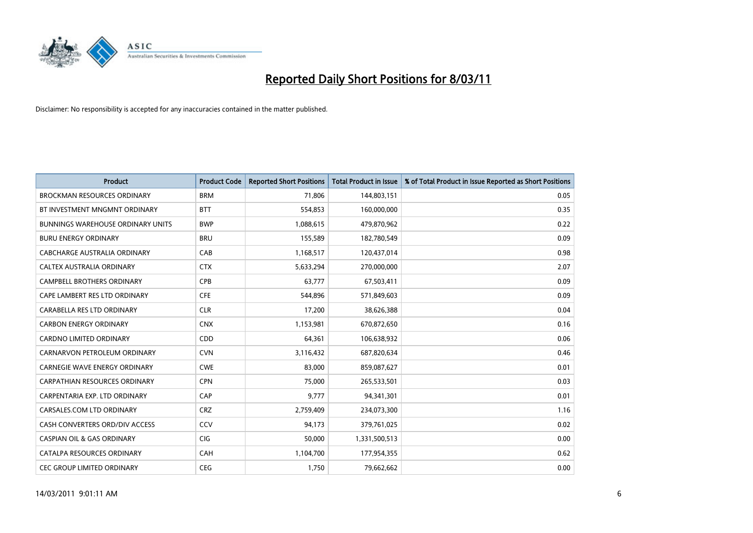

| <b>Product</b>                           | <b>Product Code</b> | <b>Reported Short Positions</b> | <b>Total Product in Issue</b> | % of Total Product in Issue Reported as Short Positions |
|------------------------------------------|---------------------|---------------------------------|-------------------------------|---------------------------------------------------------|
| <b>BROCKMAN RESOURCES ORDINARY</b>       | <b>BRM</b>          | 71,806                          | 144,803,151                   | 0.05                                                    |
| BT INVESTMENT MNGMNT ORDINARY            | <b>BTT</b>          | 554,853                         | 160,000,000                   | 0.35                                                    |
| <b>BUNNINGS WAREHOUSE ORDINARY UNITS</b> | <b>BWP</b>          | 1,088,615                       | 479,870,962                   | 0.22                                                    |
| <b>BURU ENERGY ORDINARY</b>              | <b>BRU</b>          | 155,589                         | 182,780,549                   | 0.09                                                    |
| CABCHARGE AUSTRALIA ORDINARY             | CAB                 | 1,168,517                       | 120,437,014                   | 0.98                                                    |
| CALTEX AUSTRALIA ORDINARY                | <b>CTX</b>          | 5,633,294                       | 270,000,000                   | 2.07                                                    |
| <b>CAMPBELL BROTHERS ORDINARY</b>        | <b>CPB</b>          | 63,777                          | 67,503,411                    | 0.09                                                    |
| CAPE LAMBERT RES LTD ORDINARY            | <b>CFE</b>          | 544,896                         | 571,849,603                   | 0.09                                                    |
| CARABELLA RES LTD ORDINARY               | <b>CLR</b>          | 17,200                          | 38,626,388                    | 0.04                                                    |
| <b>CARBON ENERGY ORDINARY</b>            | <b>CNX</b>          | 1,153,981                       | 670,872,650                   | 0.16                                                    |
| <b>CARDNO LIMITED ORDINARY</b>           | CDD                 | 64,361                          | 106,638,932                   | 0.06                                                    |
| CARNARVON PETROLEUM ORDINARY             | <b>CVN</b>          | 3,116,432                       | 687,820,634                   | 0.46                                                    |
| CARNEGIE WAVE ENERGY ORDINARY            | <b>CWE</b>          | 83.000                          | 859,087,627                   | 0.01                                                    |
| <b>CARPATHIAN RESOURCES ORDINARY</b>     | <b>CPN</b>          | 75,000                          | 265,533,501                   | 0.03                                                    |
| CARPENTARIA EXP. LTD ORDINARY            | CAP                 | 9,777                           | 94,341,301                    | 0.01                                                    |
| CARSALES.COM LTD ORDINARY                | <b>CRZ</b>          | 2,759,409                       | 234,073,300                   | 1.16                                                    |
| CASH CONVERTERS ORD/DIV ACCESS           | <b>CCV</b>          | 94,173                          | 379,761,025                   | 0.02                                                    |
| <b>CASPIAN OIL &amp; GAS ORDINARY</b>    | <b>CIG</b>          | 50,000                          | 1,331,500,513                 | 0.00                                                    |
| CATALPA RESOURCES ORDINARY               | CAH                 | 1,104,700                       | 177,954,355                   | 0.62                                                    |
| CEC GROUP LIMITED ORDINARY               | <b>CEG</b>          | 1,750                           | 79,662,662                    | 0.00                                                    |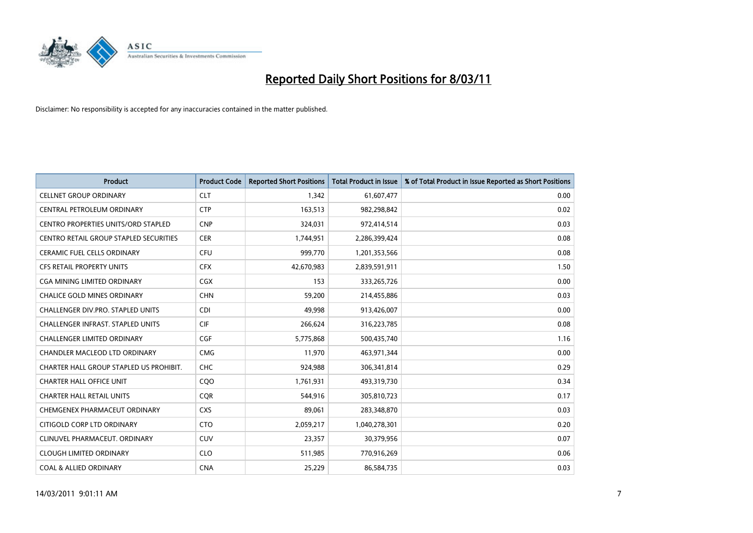

| <b>Product</b>                             | <b>Product Code</b> | <b>Reported Short Positions</b> | Total Product in Issue | % of Total Product in Issue Reported as Short Positions |
|--------------------------------------------|---------------------|---------------------------------|------------------------|---------------------------------------------------------|
| <b>CELLNET GROUP ORDINARY</b>              | <b>CLT</b>          | 1,342                           | 61,607,477             | 0.00                                                    |
| CENTRAL PETROLEUM ORDINARY                 | <b>CTP</b>          | 163,513                         | 982,298,842            | 0.02                                                    |
| <b>CENTRO PROPERTIES UNITS/ORD STAPLED</b> | <b>CNP</b>          | 324,031                         | 972,414,514            | 0.03                                                    |
| CENTRO RETAIL GROUP STAPLED SECURITIES     | <b>CER</b>          | 1,744,951                       | 2,286,399,424          | 0.08                                                    |
| <b>CERAMIC FUEL CELLS ORDINARY</b>         | <b>CFU</b>          | 999.770                         | 1,201,353,566          | 0.08                                                    |
| <b>CFS RETAIL PROPERTY UNITS</b>           | <b>CFX</b>          | 42,670,983                      | 2,839,591,911          | 1.50                                                    |
| CGA MINING LIMITED ORDINARY                | <b>CGX</b>          | 153                             | 333,265,726            | 0.00                                                    |
| <b>CHALICE GOLD MINES ORDINARY</b>         | <b>CHN</b>          | 59,200                          | 214,455,886            | 0.03                                                    |
| CHALLENGER DIV.PRO. STAPLED UNITS          | <b>CDI</b>          | 49,998                          | 913,426,007            | 0.00                                                    |
| <b>CHALLENGER INFRAST, STAPLED UNITS</b>   | <b>CIF</b>          | 266,624                         | 316,223,785            | 0.08                                                    |
| <b>CHALLENGER LIMITED ORDINARY</b>         | <b>CGF</b>          | 5,775,868                       | 500,435,740            | 1.16                                                    |
| CHANDLER MACLEOD LTD ORDINARY              | <b>CMG</b>          | 11,970                          | 463,971,344            | 0.00                                                    |
| CHARTER HALL GROUP STAPLED US PROHIBIT.    | <b>CHC</b>          | 924.988                         | 306,341,814            | 0.29                                                    |
| <b>CHARTER HALL OFFICE UNIT</b>            | COO                 | 1,761,931                       | 493,319,730            | 0.34                                                    |
| <b>CHARTER HALL RETAIL UNITS</b>           | <b>COR</b>          | 544,916                         | 305,810,723            | 0.17                                                    |
| CHEMGENEX PHARMACEUT ORDINARY              | <b>CXS</b>          | 89,061                          | 283,348,870            | 0.03                                                    |
| CITIGOLD CORP LTD ORDINARY                 | <b>CTO</b>          | 2,059,217                       | 1,040,278,301          | 0.20                                                    |
| CLINUVEL PHARMACEUT. ORDINARY              | <b>CUV</b>          | 23,357                          | 30,379,956             | 0.07                                                    |
| <b>CLOUGH LIMITED ORDINARY</b>             | <b>CLO</b>          | 511,985                         | 770,916,269            | 0.06                                                    |
| <b>COAL &amp; ALLIED ORDINARY</b>          | <b>CNA</b>          | 25,229                          | 86,584,735             | 0.03                                                    |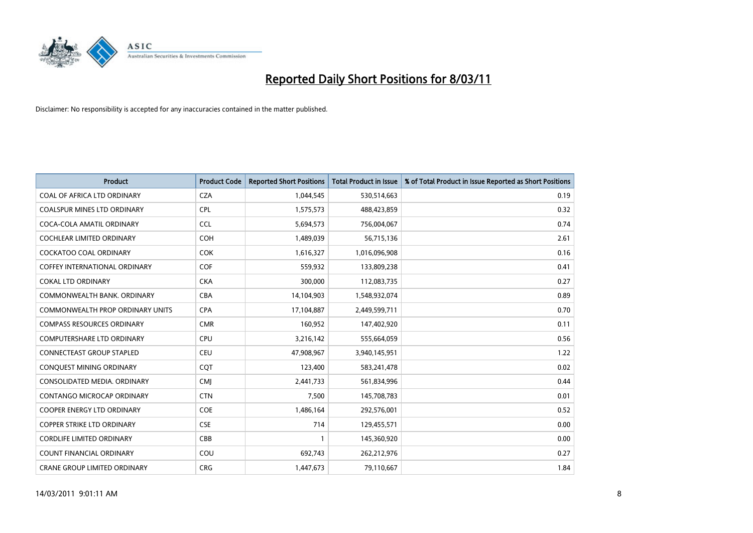

| <b>Product</b>                       | <b>Product Code</b> | <b>Reported Short Positions</b> | Total Product in Issue | % of Total Product in Issue Reported as Short Positions |
|--------------------------------------|---------------------|---------------------------------|------------------------|---------------------------------------------------------|
| COAL OF AFRICA LTD ORDINARY          | <b>CZA</b>          | 1,044,545                       | 530,514,663            | 0.19                                                    |
| COALSPUR MINES LTD ORDINARY          | <b>CPL</b>          | 1,575,573                       | 488,423,859            | 0.32                                                    |
| COCA-COLA AMATIL ORDINARY            | <b>CCL</b>          | 5,694,573                       | 756,004,067            | 0.74                                                    |
| COCHLEAR LIMITED ORDINARY            | <b>COH</b>          | 1,489,039                       | 56,715,136             | 2.61                                                    |
| <b>COCKATOO COAL ORDINARY</b>        | <b>COK</b>          | 1,616,327                       | 1,016,096,908          | 0.16                                                    |
| <b>COFFEY INTERNATIONAL ORDINARY</b> | <b>COF</b>          | 559,932                         | 133,809,238            | 0.41                                                    |
| <b>COKAL LTD ORDINARY</b>            | <b>CKA</b>          | 300,000                         | 112,083,735            | 0.27                                                    |
| COMMONWEALTH BANK, ORDINARY          | <b>CBA</b>          | 14,104,903                      | 1,548,932,074          | 0.89                                                    |
| COMMONWEALTH PROP ORDINARY UNITS     | <b>CPA</b>          | 17,104,887                      | 2,449,599,711          | 0.70                                                    |
| <b>COMPASS RESOURCES ORDINARY</b>    | <b>CMR</b>          | 160,952                         | 147,402,920            | 0.11                                                    |
| <b>COMPUTERSHARE LTD ORDINARY</b>    | <b>CPU</b>          | 3,216,142                       | 555,664,059            | 0.56                                                    |
| <b>CONNECTEAST GROUP STAPLED</b>     | <b>CEU</b>          | 47,908,967                      | 3,940,145,951          | 1.22                                                    |
| CONQUEST MINING ORDINARY             | CQT                 | 123,400                         | 583,241,478            | 0.02                                                    |
| CONSOLIDATED MEDIA, ORDINARY         | <b>CMI</b>          | 2,441,733                       | 561,834,996            | 0.44                                                    |
| CONTANGO MICROCAP ORDINARY           | <b>CTN</b>          | 7,500                           | 145,708,783            | 0.01                                                    |
| <b>COOPER ENERGY LTD ORDINARY</b>    | <b>COE</b>          | 1,486,164                       | 292,576,001            | 0.52                                                    |
| <b>COPPER STRIKE LTD ORDINARY</b>    | <b>CSE</b>          | 714                             | 129,455,571            | 0.00                                                    |
| <b>CORDLIFE LIMITED ORDINARY</b>     | CBB                 |                                 | 145,360,920            | 0.00                                                    |
| <b>COUNT FINANCIAL ORDINARY</b>      | COU                 | 692,743                         | 262,212,976            | 0.27                                                    |
| CRANE GROUP LIMITED ORDINARY         | <b>CRG</b>          | 1,447,673                       | 79,110,667             | 1.84                                                    |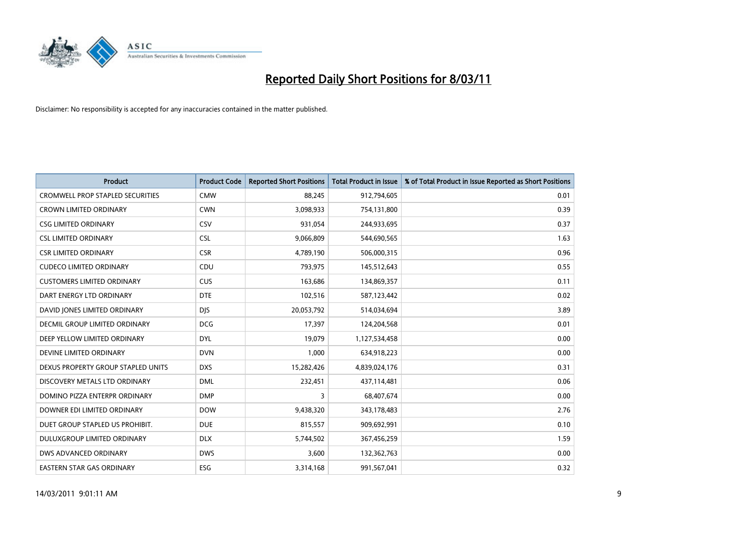

| Product                                 | <b>Product Code</b> | <b>Reported Short Positions</b> | <b>Total Product in Issue</b> | % of Total Product in Issue Reported as Short Positions |
|-----------------------------------------|---------------------|---------------------------------|-------------------------------|---------------------------------------------------------|
| <b>CROMWELL PROP STAPLED SECURITIES</b> | <b>CMW</b>          | 88,245                          | 912,794,605                   | 0.01                                                    |
| <b>CROWN LIMITED ORDINARY</b>           | <b>CWN</b>          | 3,098,933                       | 754,131,800                   | 0.39                                                    |
| <b>CSG LIMITED ORDINARY</b>             | CSV                 | 931,054                         | 244,933,695                   | 0.37                                                    |
| <b>CSL LIMITED ORDINARY</b>             | <b>CSL</b>          | 9,066,809                       | 544,690,565                   | 1.63                                                    |
| <b>CSR LIMITED ORDINARY</b>             | <b>CSR</b>          | 4,789,190                       | 506,000,315                   | 0.96                                                    |
| <b>CUDECO LIMITED ORDINARY</b>          | CDU                 | 793,975                         | 145,512,643                   | 0.55                                                    |
| <b>CUSTOMERS LIMITED ORDINARY</b>       | <b>CUS</b>          | 163,686                         | 134,869,357                   | 0.11                                                    |
| DART ENERGY LTD ORDINARY                | <b>DTE</b>          | 102,516                         | 587,123,442                   | 0.02                                                    |
| DAVID JONES LIMITED ORDINARY            | <b>DJS</b>          | 20,053,792                      | 514,034,694                   | 3.89                                                    |
| DECMIL GROUP LIMITED ORDINARY           | <b>DCG</b>          | 17,397                          | 124,204,568                   | 0.01                                                    |
| DEEP YELLOW LIMITED ORDINARY            | <b>DYL</b>          | 19,079                          | 1,127,534,458                 | 0.00                                                    |
| DEVINE LIMITED ORDINARY                 | <b>DVN</b>          | 1,000                           | 634,918,223                   | 0.00                                                    |
| DEXUS PROPERTY GROUP STAPLED UNITS      | <b>DXS</b>          | 15,282,426                      | 4,839,024,176                 | 0.31                                                    |
| DISCOVERY METALS LTD ORDINARY           | <b>DML</b>          | 232,451                         | 437,114,481                   | 0.06                                                    |
| DOMINO PIZZA ENTERPR ORDINARY           | <b>DMP</b>          | 3                               | 68,407,674                    | 0.00                                                    |
| DOWNER EDI LIMITED ORDINARY             | <b>DOW</b>          | 9,438,320                       | 343,178,483                   | 2.76                                                    |
| DUET GROUP STAPLED US PROHIBIT.         | <b>DUE</b>          | 815,557                         | 909,692,991                   | 0.10                                                    |
| DULUXGROUP LIMITED ORDINARY             | <b>DLX</b>          | 5,744,502                       | 367,456,259                   | 1.59                                                    |
| DWS ADVANCED ORDINARY                   | <b>DWS</b>          | 3,600                           | 132,362,763                   | 0.00                                                    |
| EASTERN STAR GAS ORDINARY               | ESG                 | 3,314,168                       | 991,567,041                   | 0.32                                                    |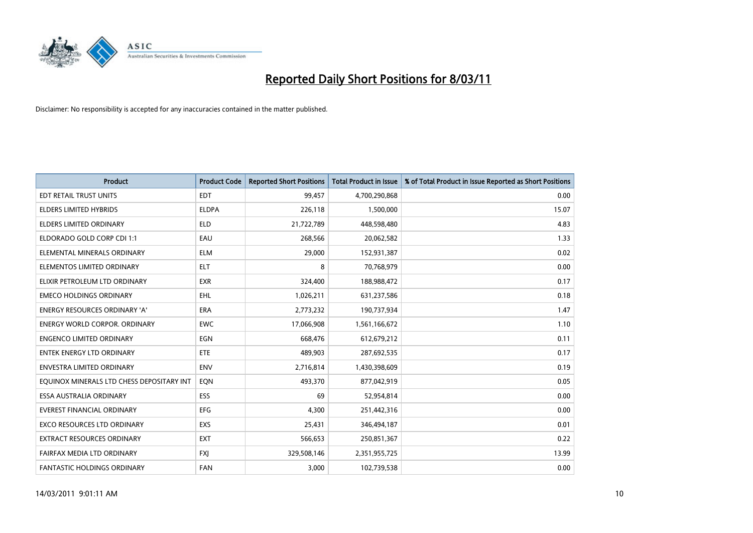

| <b>Product</b>                            | <b>Product Code</b> | <b>Reported Short Positions</b> | Total Product in Issue | % of Total Product in Issue Reported as Short Positions |
|-------------------------------------------|---------------------|---------------------------------|------------------------|---------------------------------------------------------|
| EDT RETAIL TRUST UNITS                    | <b>EDT</b>          | 99,457                          | 4,700,290,868          | 0.00                                                    |
| ELDERS LIMITED HYBRIDS                    | <b>ELDPA</b>        | 226,118                         | 1,500,000              | 15.07                                                   |
| <b>ELDERS LIMITED ORDINARY</b>            | <b>ELD</b>          | 21,722,789                      | 448,598,480            | 4.83                                                    |
| ELDORADO GOLD CORP CDI 1:1                | EAU                 | 268,566                         | 20,062,582             | 1.33                                                    |
| ELEMENTAL MINERALS ORDINARY               | <b>ELM</b>          | 29,000                          | 152,931,387            | 0.02                                                    |
| ELEMENTOS LIMITED ORDINARY                | <b>ELT</b>          | 8                               | 70,768,979             | 0.00                                                    |
| ELIXIR PETROLEUM LTD ORDINARY             | <b>EXR</b>          | 324,400                         | 188,988,472            | 0.17                                                    |
| <b>EMECO HOLDINGS ORDINARY</b>            | <b>EHL</b>          | 1,026,211                       | 631,237,586            | 0.18                                                    |
| ENERGY RESOURCES ORDINARY 'A'             | ERA                 | 2,773,232                       | 190,737,934            | 1.47                                                    |
| <b>ENERGY WORLD CORPOR, ORDINARY</b>      | <b>EWC</b>          | 17,066,908                      | 1,561,166,672          | 1.10                                                    |
| <b>ENGENCO LIMITED ORDINARY</b>           | EGN                 | 668,476                         | 612,679,212            | 0.11                                                    |
| <b>ENTEK ENERGY LTD ORDINARY</b>          | ETE                 | 489,903                         | 287,692,535            | 0.17                                                    |
| <b>ENVESTRA LIMITED ORDINARY</b>          | <b>ENV</b>          | 2,716,814                       | 1,430,398,609          | 0.19                                                    |
| EQUINOX MINERALS LTD CHESS DEPOSITARY INT | <b>EON</b>          | 493,370                         | 877,042,919            | 0.05                                                    |
| ESSA AUSTRALIA ORDINARY                   | <b>ESS</b>          | 69                              | 52,954,814             | 0.00                                                    |
| <b>EVEREST FINANCIAL ORDINARY</b>         | EFG                 | 4.300                           | 251,442,316            | 0.00                                                    |
| <b>EXCO RESOURCES LTD ORDINARY</b>        | EXS                 | 25,431                          | 346,494,187            | 0.01                                                    |
| EXTRACT RESOURCES ORDINARY                | <b>EXT</b>          | 566,653                         | 250,851,367            | 0.22                                                    |
| FAIRFAX MEDIA LTD ORDINARY                | <b>FXI</b>          | 329,508,146                     | 2,351,955,725          | 13.99                                                   |
| FANTASTIC HOLDINGS ORDINARY               | <b>FAN</b>          | 3,000                           | 102,739,538            | 0.00                                                    |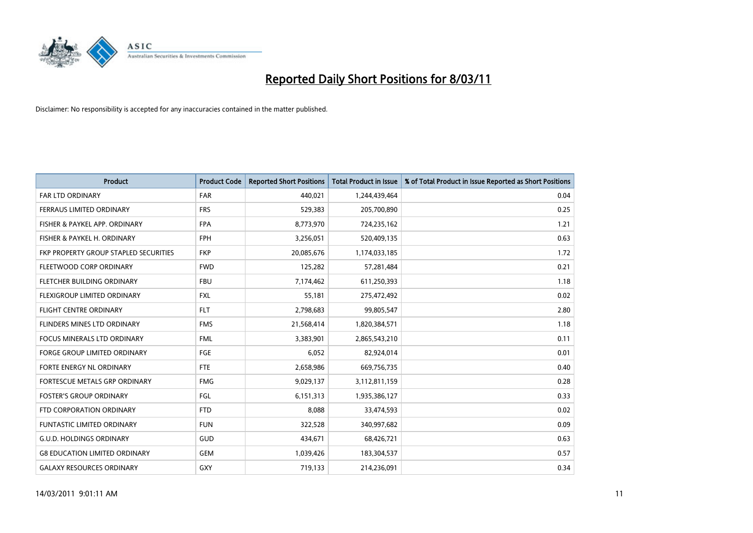

| <b>Product</b>                        | <b>Product Code</b> | <b>Reported Short Positions</b> | <b>Total Product in Issue</b> | % of Total Product in Issue Reported as Short Positions |
|---------------------------------------|---------------------|---------------------------------|-------------------------------|---------------------------------------------------------|
| <b>FAR LTD ORDINARY</b>               | <b>FAR</b>          | 440,021                         | 1,244,439,464                 | 0.04                                                    |
| FERRAUS LIMITED ORDINARY              | <b>FRS</b>          | 529,383                         | 205,700,890                   | 0.25                                                    |
| FISHER & PAYKEL APP. ORDINARY         | <b>FPA</b>          | 8,773,970                       | 724,235,162                   | 1.21                                                    |
| FISHER & PAYKEL H. ORDINARY           | <b>FPH</b>          | 3,256,051                       | 520,409,135                   | 0.63                                                    |
| FKP PROPERTY GROUP STAPLED SECURITIES | <b>FKP</b>          | 20,085,676                      | 1,174,033,185                 | 1.72                                                    |
| FLEETWOOD CORP ORDINARY               | <b>FWD</b>          | 125,282                         | 57,281,484                    | 0.21                                                    |
| FLETCHER BUILDING ORDINARY            | <b>FBU</b>          | 7,174,462                       | 611,250,393                   | 1.18                                                    |
| FLEXIGROUP LIMITED ORDINARY           | <b>FXL</b>          | 55,181                          | 275,472,492                   | 0.02                                                    |
| FLIGHT CENTRE ORDINARY                | <b>FLT</b>          | 2,798,683                       | 99,805,547                    | 2.80                                                    |
| FLINDERS MINES LTD ORDINARY           | <b>FMS</b>          | 21,568,414                      | 1,820,384,571                 | 1.18                                                    |
| FOCUS MINERALS LTD ORDINARY           | <b>FML</b>          | 3,383,901                       | 2,865,543,210                 | 0.11                                                    |
| <b>FORGE GROUP LIMITED ORDINARY</b>   | FGE                 | 6,052                           | 82,924,014                    | 0.01                                                    |
| <b>FORTE ENERGY NL ORDINARY</b>       | <b>FTE</b>          | 2,658,986                       | 669,756,735                   | 0.40                                                    |
| FORTESCUE METALS GRP ORDINARY         | <b>FMG</b>          | 9,029,137                       | 3,112,811,159                 | 0.28                                                    |
| <b>FOSTER'S GROUP ORDINARY</b>        | <b>FGL</b>          | 6,151,313                       | 1,935,386,127                 | 0.33                                                    |
| FTD CORPORATION ORDINARY              | <b>FTD</b>          | 8,088                           | 33,474,593                    | 0.02                                                    |
| <b>FUNTASTIC LIMITED ORDINARY</b>     | <b>FUN</b>          | 322,528                         | 340,997,682                   | 0.09                                                    |
| <b>G.U.D. HOLDINGS ORDINARY</b>       | GUD                 | 434,671                         | 68,426,721                    | 0.63                                                    |
| <b>G8 EDUCATION LIMITED ORDINARY</b>  | <b>GEM</b>          | 1,039,426                       | 183,304,537                   | 0.57                                                    |
| <b>GALAXY RESOURCES ORDINARY</b>      | GXY                 | 719,133                         | 214,236,091                   | 0.34                                                    |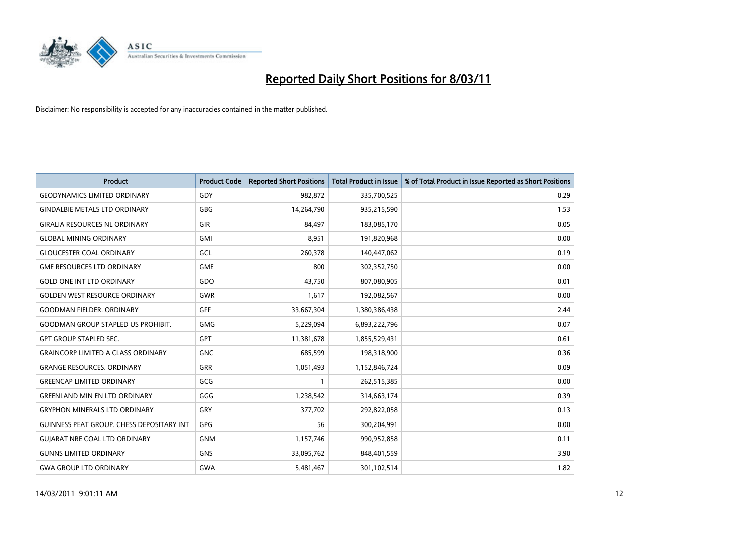

| <b>Product</b>                                   | <b>Product Code</b> | <b>Reported Short Positions</b> | <b>Total Product in Issue</b> | % of Total Product in Issue Reported as Short Positions |
|--------------------------------------------------|---------------------|---------------------------------|-------------------------------|---------------------------------------------------------|
| <b>GEODYNAMICS LIMITED ORDINARY</b>              | GDY                 | 982,872                         | 335,700,525                   | 0.29                                                    |
| <b>GINDALBIE METALS LTD ORDINARY</b>             | <b>GBG</b>          | 14,264,790                      | 935,215,590                   | 1.53                                                    |
| <b>GIRALIA RESOURCES NL ORDINARY</b>             | GIR                 | 84,497                          | 183,085,170                   | 0.05                                                    |
| <b>GLOBAL MINING ORDINARY</b>                    | <b>GMI</b>          | 8,951                           | 191,820,968                   | 0.00                                                    |
| <b>GLOUCESTER COAL ORDINARY</b>                  | GCL                 | 260,378                         | 140,447,062                   | 0.19                                                    |
| <b>GME RESOURCES LTD ORDINARY</b>                | <b>GME</b>          | 800                             | 302,352,750                   | 0.00                                                    |
| <b>GOLD ONE INT LTD ORDINARY</b>                 | GDO                 | 43.750                          | 807,080,905                   | 0.01                                                    |
| <b>GOLDEN WEST RESOURCE ORDINARY</b>             | <b>GWR</b>          | 1,617                           | 192,082,567                   | 0.00                                                    |
| <b>GOODMAN FIELDER, ORDINARY</b>                 | GFF                 | 33,667,304                      | 1,380,386,438                 | 2.44                                                    |
| <b>GOODMAN GROUP STAPLED US PROHIBIT.</b>        | <b>GMG</b>          | 5,229,094                       | 6,893,222,796                 | 0.07                                                    |
| <b>GPT GROUP STAPLED SEC.</b>                    | <b>GPT</b>          | 11,381,678                      | 1,855,529,431                 | 0.61                                                    |
| <b>GRAINCORP LIMITED A CLASS ORDINARY</b>        | <b>GNC</b>          | 685,599                         | 198,318,900                   | 0.36                                                    |
| <b>GRANGE RESOURCES, ORDINARY</b>                | <b>GRR</b>          | 1,051,493                       | 1,152,846,724                 | 0.09                                                    |
| <b>GREENCAP LIMITED ORDINARY</b>                 | GCG                 |                                 | 262,515,385                   | 0.00                                                    |
| <b>GREENLAND MIN EN LTD ORDINARY</b>             | GGG                 | 1,238,542                       | 314,663,174                   | 0.39                                                    |
| <b>GRYPHON MINERALS LTD ORDINARY</b>             | GRY                 | 377,702                         | 292,822,058                   | 0.13                                                    |
| <b>GUINNESS PEAT GROUP. CHESS DEPOSITARY INT</b> | <b>GPG</b>          | 56                              | 300,204,991                   | 0.00                                                    |
| <b>GUIARAT NRE COAL LTD ORDINARY</b>             | <b>GNM</b>          | 1,157,746                       | 990,952,858                   | 0.11                                                    |
| <b>GUNNS LIMITED ORDINARY</b>                    | <b>GNS</b>          | 33,095,762                      | 848,401,559                   | 3.90                                                    |
| <b>GWA GROUP LTD ORDINARY</b>                    | <b>GWA</b>          | 5,481,467                       | 301,102,514                   | 1.82                                                    |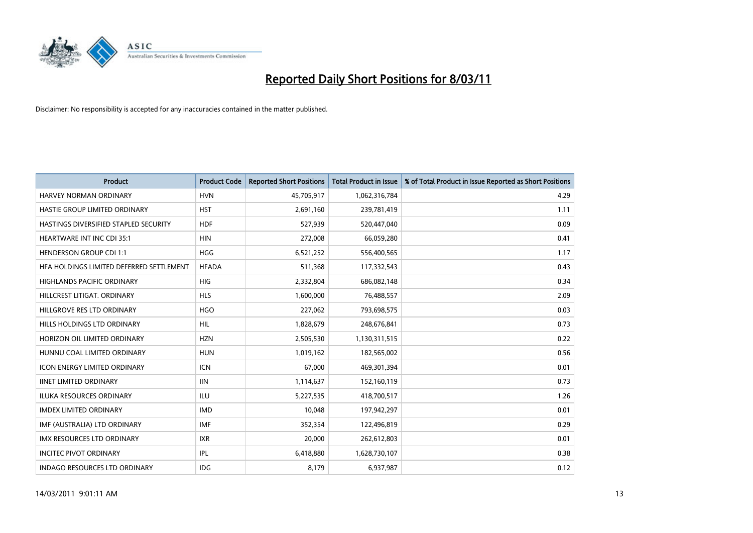

| <b>Product</b>                           | <b>Product Code</b> | <b>Reported Short Positions</b> | Total Product in Issue | % of Total Product in Issue Reported as Short Positions |
|------------------------------------------|---------------------|---------------------------------|------------------------|---------------------------------------------------------|
| <b>HARVEY NORMAN ORDINARY</b>            | <b>HVN</b>          | 45,705,917                      | 1,062,316,784          | 4.29                                                    |
| HASTIE GROUP LIMITED ORDINARY            | <b>HST</b>          | 2,691,160                       | 239,781,419            | 1.11                                                    |
| HASTINGS DIVERSIFIED STAPLED SECURITY    | <b>HDF</b>          | 527,939                         | 520,447,040            | 0.09                                                    |
| HEARTWARE INT INC CDI 35:1               | <b>HIN</b>          | 272,008                         | 66,059,280             | 0.41                                                    |
| <b>HENDERSON GROUP CDI 1:1</b>           | <b>HGG</b>          | 6,521,252                       | 556,400,565            | 1.17                                                    |
| HFA HOLDINGS LIMITED DEFERRED SETTLEMENT | <b>HFADA</b>        | 511,368                         | 117,332,543            | 0.43                                                    |
| <b>HIGHLANDS PACIFIC ORDINARY</b>        | <b>HIG</b>          | 2,332,804                       | 686,082,148            | 0.34                                                    |
| HILLCREST LITIGAT, ORDINARY              | <b>HLS</b>          | 1,600,000                       | 76,488,557             | 2.09                                                    |
| HILLGROVE RES LTD ORDINARY               | <b>HGO</b>          | 227,062                         | 793,698,575            | 0.03                                                    |
| <b>HILLS HOLDINGS LTD ORDINARY</b>       | <b>HIL</b>          | 1,828,679                       | 248,676,841            | 0.73                                                    |
| HORIZON OIL LIMITED ORDINARY             | <b>HZN</b>          | 2,505,530                       | 1,130,311,515          | 0.22                                                    |
| HUNNU COAL LIMITED ORDINARY              | <b>HUN</b>          | 1,019,162                       | 182,565,002            | 0.56                                                    |
| <b>ICON ENERGY LIMITED ORDINARY</b>      | <b>ICN</b>          | 67.000                          | 469,301,394            | 0.01                                                    |
| <b>IINET LIMITED ORDINARY</b>            | <b>IIN</b>          | 1,114,637                       | 152,160,119            | 0.73                                                    |
| <b>ILUKA RESOURCES ORDINARY</b>          | <b>ILU</b>          | 5,227,535                       | 418,700,517            | 1.26                                                    |
| <b>IMDEX LIMITED ORDINARY</b>            | <b>IMD</b>          | 10,048                          | 197,942,297            | 0.01                                                    |
| IMF (AUSTRALIA) LTD ORDINARY             | <b>IMF</b>          | 352,354                         | 122,496,819            | 0.29                                                    |
| IMX RESOURCES LTD ORDINARY               | <b>IXR</b>          | 20,000                          | 262,612,803            | 0.01                                                    |
| <b>INCITEC PIVOT ORDINARY</b>            | <b>IPL</b>          | 6,418,880                       | 1,628,730,107          | 0.38                                                    |
| <b>INDAGO RESOURCES LTD ORDINARY</b>     | <b>IDG</b>          | 8,179                           | 6,937,987              | 0.12                                                    |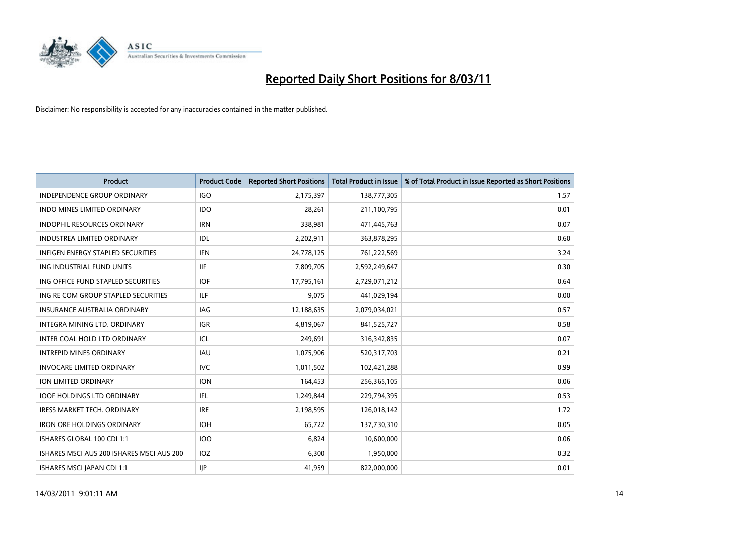

| Product                                   | <b>Product Code</b> | <b>Reported Short Positions</b> | <b>Total Product in Issue</b> | % of Total Product in Issue Reported as Short Positions |
|-------------------------------------------|---------------------|---------------------------------|-------------------------------|---------------------------------------------------------|
| <b>INDEPENDENCE GROUP ORDINARY</b>        | <b>IGO</b>          | 2,175,397                       | 138,777,305                   | 1.57                                                    |
| INDO MINES LIMITED ORDINARY               | <b>IDO</b>          | 28,261                          | 211,100,795                   | 0.01                                                    |
| <b>INDOPHIL RESOURCES ORDINARY</b>        | <b>IRN</b>          | 338,981                         | 471,445,763                   | 0.07                                                    |
| <b>INDUSTREA LIMITED ORDINARY</b>         | IDL                 | 2,202,911                       | 363,878,295                   | 0.60                                                    |
| <b>INFIGEN ENERGY STAPLED SECURITIES</b>  | <b>IFN</b>          | 24,778,125                      | 761,222,569                   | 3.24                                                    |
| ING INDUSTRIAL FUND UNITS                 | <b>IIF</b>          | 7,809,705                       | 2,592,249,647                 | 0.30                                                    |
| ING OFFICE FUND STAPLED SECURITIES        | <b>IOF</b>          | 17,795,161                      | 2,729,071,212                 | 0.64                                                    |
| ING RE COM GROUP STAPLED SECURITIES       | ILF.                | 9,075                           | 441,029,194                   | 0.00                                                    |
| INSURANCE AUSTRALIA ORDINARY              | IAG                 | 12,188,635                      | 2,079,034,021                 | 0.57                                                    |
| INTEGRA MINING LTD, ORDINARY              | <b>IGR</b>          | 4,819,067                       | 841,525,727                   | 0.58                                                    |
| INTER COAL HOLD LTD ORDINARY              | ICL                 | 249,691                         | 316,342,835                   | 0.07                                                    |
| <b>INTREPID MINES ORDINARY</b>            | <b>IAU</b>          | 1,075,906                       | 520,317,703                   | 0.21                                                    |
| <b>INVOCARE LIMITED ORDINARY</b>          | <b>IVC</b>          | 1,011,502                       | 102,421,288                   | 0.99                                                    |
| <b>ION LIMITED ORDINARY</b>               | <b>ION</b>          | 164,453                         | 256,365,105                   | 0.06                                                    |
| <b>IOOF HOLDINGS LTD ORDINARY</b>         | IFL.                | 1,249,844                       | 229,794,395                   | 0.53                                                    |
| <b>IRESS MARKET TECH. ORDINARY</b>        | <b>IRE</b>          | 2,198,595                       | 126,018,142                   | 1.72                                                    |
| <b>IRON ORE HOLDINGS ORDINARY</b>         | <b>IOH</b>          | 65,722                          | 137,730,310                   | 0.05                                                    |
| ISHARES GLOBAL 100 CDI 1:1                | <b>IOO</b>          | 6,824                           | 10,600,000                    | 0.06                                                    |
| ISHARES MSCI AUS 200 ISHARES MSCI AUS 200 | IOZ                 | 6,300                           | 1,950,000                     | 0.32                                                    |
| ISHARES MSCI JAPAN CDI 1:1                | <b>IIP</b>          | 41,959                          | 822,000,000                   | 0.01                                                    |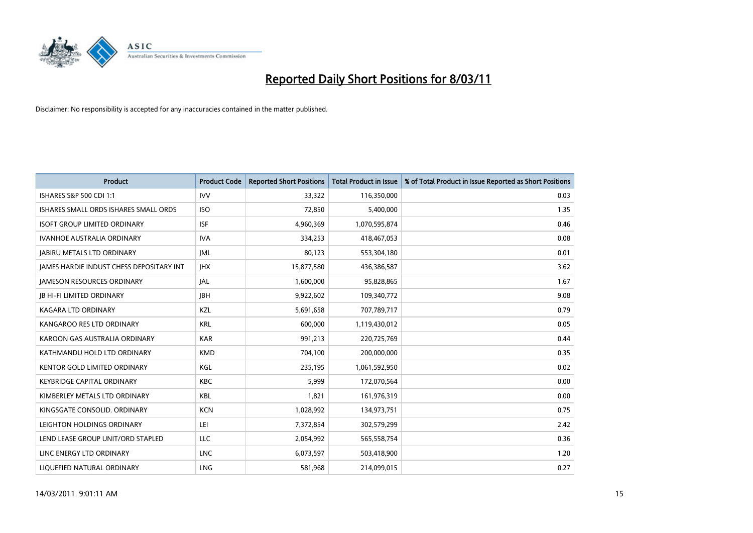

| <b>Product</b>                           | <b>Product Code</b> | <b>Reported Short Positions</b> | Total Product in Issue | % of Total Product in Issue Reported as Short Positions |
|------------------------------------------|---------------------|---------------------------------|------------------------|---------------------------------------------------------|
| <b>ISHARES S&amp;P 500 CDI 1:1</b>       | <b>IVV</b>          | 33,322                          | 116,350,000            | 0.03                                                    |
| ISHARES SMALL ORDS ISHARES SMALL ORDS    | <b>ISO</b>          | 72,850                          | 5,400,000              | 1.35                                                    |
| <b>ISOFT GROUP LIMITED ORDINARY</b>      | <b>ISF</b>          | 4,960,369                       | 1,070,595,874          | 0.46                                                    |
| <b>IVANHOE AUSTRALIA ORDINARY</b>        | <b>IVA</b>          | 334,253                         | 418,467,053            | 0.08                                                    |
| <b>IABIRU METALS LTD ORDINARY</b>        | <b>IML</b>          | 80,123                          | 553,304,180            | 0.01                                                    |
| JAMES HARDIE INDUST CHESS DEPOSITARY INT | <b>IHX</b>          | 15,877,580                      | 436,386,587            | 3.62                                                    |
| <b>JAMESON RESOURCES ORDINARY</b>        | <b>JAL</b>          | 1,600,000                       | 95,828,865             | 1.67                                                    |
| <b>JB HI-FI LIMITED ORDINARY</b>         | <b>IBH</b>          | 9,922,602                       | 109,340,772            | 9.08                                                    |
| <b>KAGARA LTD ORDINARY</b>               | KZL                 | 5,691,658                       | 707,789,717            | 0.79                                                    |
| KANGAROO RES LTD ORDINARY                | <b>KRL</b>          | 600.000                         | 1,119,430,012          | 0.05                                                    |
| KAROON GAS AUSTRALIA ORDINARY            | <b>KAR</b>          | 991,213                         | 220,725,769            | 0.44                                                    |
| KATHMANDU HOLD LTD ORDINARY              | <b>KMD</b>          | 704,100                         | 200,000,000            | 0.35                                                    |
| KENTOR GOLD LIMITED ORDINARY             | <b>KGL</b>          | 235,195                         | 1,061,592,950          | 0.02                                                    |
| <b>KEYBRIDGE CAPITAL ORDINARY</b>        | <b>KBC</b>          | 5,999                           | 172,070,564            | 0.00                                                    |
| KIMBERLEY METALS LTD ORDINARY            | <b>KBL</b>          | 1,821                           | 161,976,319            | 0.00                                                    |
| KINGSGATE CONSOLID, ORDINARY             | <b>KCN</b>          | 1,028,992                       | 134,973,751            | 0.75                                                    |
| LEIGHTON HOLDINGS ORDINARY               | LEI                 | 7,372,854                       | 302,579,299            | 2.42                                                    |
| LEND LEASE GROUP UNIT/ORD STAPLED        | LLC                 | 2,054,992                       | 565,558,754            | 0.36                                                    |
| LINC ENERGY LTD ORDINARY                 | <b>LNC</b>          | 6,073,597                       | 503,418,900            | 1.20                                                    |
| LIQUEFIED NATURAL ORDINARY               | <b>LNG</b>          | 581,968                         | 214,099,015            | 0.27                                                    |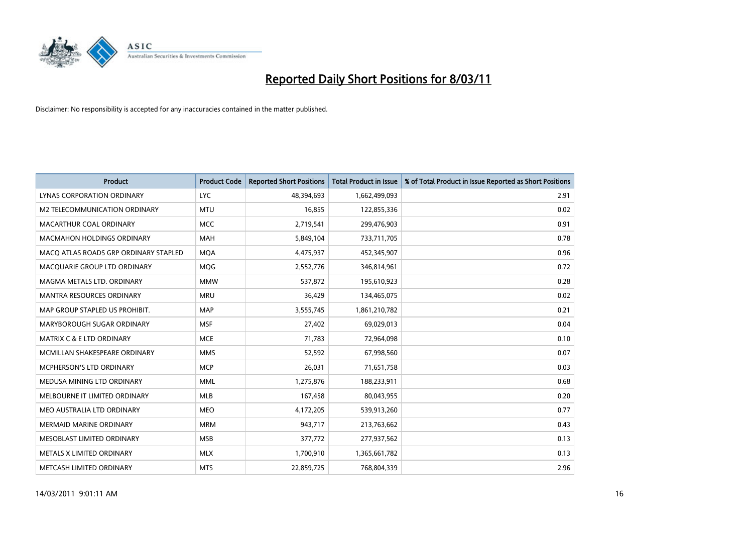

| <b>Product</b>                        | <b>Product Code</b> | <b>Reported Short Positions</b> | Total Product in Issue | % of Total Product in Issue Reported as Short Positions |
|---------------------------------------|---------------------|---------------------------------|------------------------|---------------------------------------------------------|
| <b>LYNAS CORPORATION ORDINARY</b>     | <b>LYC</b>          | 48,394,693                      | 1,662,499,093          | 2.91                                                    |
| M2 TELECOMMUNICATION ORDINARY         | <b>MTU</b>          | 16,855                          | 122,855,336            | 0.02                                                    |
| MACARTHUR COAL ORDINARY               | <b>MCC</b>          | 2,719,541                       | 299,476,903            | 0.91                                                    |
| MACMAHON HOLDINGS ORDINARY            | <b>MAH</b>          | 5,849,104                       | 733,711,705            | 0.78                                                    |
| MACO ATLAS ROADS GRP ORDINARY STAPLED | <b>MQA</b>          | 4,475,937                       | 452,345,907            | 0.96                                                    |
| MACQUARIE GROUP LTD ORDINARY          | MQG                 | 2,552,776                       | 346,814,961            | 0.72                                                    |
| MAGMA METALS LTD. ORDINARY            | <b>MMW</b>          | 537,872                         | 195,610,923            | 0.28                                                    |
| MANTRA RESOURCES ORDINARY             | <b>MRU</b>          | 36,429                          | 134,465,075            | 0.02                                                    |
| MAP GROUP STAPLED US PROHIBIT.        | <b>MAP</b>          | 3,555,745                       | 1,861,210,782          | 0.21                                                    |
| MARYBOROUGH SUGAR ORDINARY            | <b>MSF</b>          | 27,402                          | 69,029,013             | 0.04                                                    |
| MATRIX C & E LTD ORDINARY             | <b>MCE</b>          | 71,783                          | 72,964,098             | 0.10                                                    |
| MCMILLAN SHAKESPEARE ORDINARY         | <b>MMS</b>          | 52,592                          | 67,998,560             | 0.07                                                    |
| <b>MCPHERSON'S LTD ORDINARY</b>       | <b>MCP</b>          | 26.031                          | 71,651,758             | 0.03                                                    |
| MEDUSA MINING LTD ORDINARY            | <b>MML</b>          | 1,275,876                       | 188,233,911            | 0.68                                                    |
| MELBOURNE IT LIMITED ORDINARY         | <b>MLB</b>          | 167,458                         | 80,043,955             | 0.20                                                    |
| MEO AUSTRALIA LTD ORDINARY            | <b>MEO</b>          | 4,172,205                       | 539,913,260            | 0.77                                                    |
| <b>MERMAID MARINE ORDINARY</b>        | <b>MRM</b>          | 943,717                         | 213,763,662            | 0.43                                                    |
| MESOBLAST LIMITED ORDINARY            | <b>MSB</b>          | 377,772                         | 277,937,562            | 0.13                                                    |
| METALS X LIMITED ORDINARY             | <b>MLX</b>          | 1,700,910                       | 1,365,661,782          | 0.13                                                    |
| METCASH LIMITED ORDINARY              | <b>MTS</b>          | 22,859,725                      | 768,804,339            | 2.96                                                    |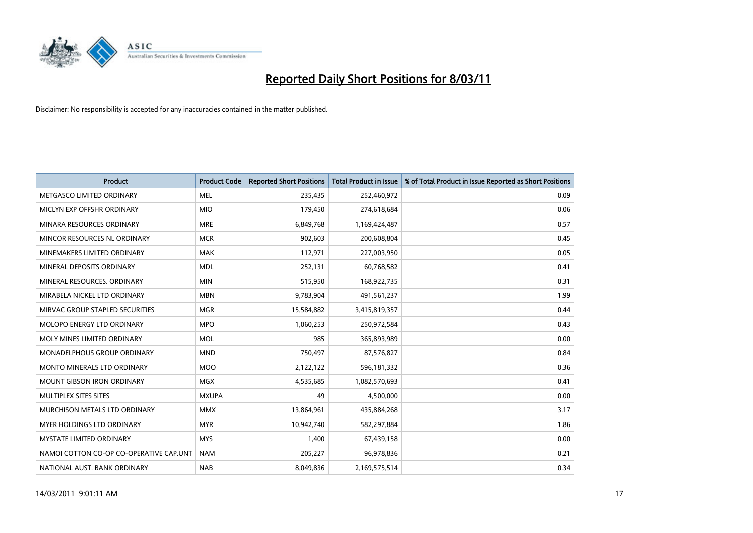

| <b>Product</b>                          | <b>Product Code</b> | <b>Reported Short Positions</b> | Total Product in Issue | % of Total Product in Issue Reported as Short Positions |
|-----------------------------------------|---------------------|---------------------------------|------------------------|---------------------------------------------------------|
| METGASCO LIMITED ORDINARY               | <b>MEL</b>          | 235,435                         | 252,460,972            | 0.09                                                    |
| MICLYN EXP OFFSHR ORDINARY              | <b>MIO</b>          | 179,450                         | 274,618,684            | 0.06                                                    |
| MINARA RESOURCES ORDINARY               | <b>MRE</b>          | 6,849,768                       | 1,169,424,487          | 0.57                                                    |
| MINCOR RESOURCES NL ORDINARY            | <b>MCR</b>          | 902,603                         | 200,608,804            | 0.45                                                    |
| MINEMAKERS LIMITED ORDINARY             | <b>MAK</b>          | 112,971                         | 227,003,950            | 0.05                                                    |
| MINERAL DEPOSITS ORDINARY               | <b>MDL</b>          | 252,131                         | 60,768,582             | 0.41                                                    |
| MINERAL RESOURCES, ORDINARY             | <b>MIN</b>          | 515,950                         | 168,922,735            | 0.31                                                    |
| MIRABELA NICKEL LTD ORDINARY            | <b>MBN</b>          | 9,783,904                       | 491,561,237            | 1.99                                                    |
| MIRVAC GROUP STAPLED SECURITIES         | <b>MGR</b>          | 15,584,882                      | 3,415,819,357          | 0.44                                                    |
| MOLOPO ENERGY LTD ORDINARY              | <b>MPO</b>          | 1,060,253                       | 250,972,584            | 0.43                                                    |
| MOLY MINES LIMITED ORDINARY             | MOL                 | 985                             | 365,893,989            | 0.00                                                    |
| MONADELPHOUS GROUP ORDINARY             | <b>MND</b>          | 750,497                         | 87,576,827             | 0.84                                                    |
| <b>MONTO MINERALS LTD ORDINARY</b>      | <b>MOO</b>          | 2,122,122                       | 596,181,332            | 0.36                                                    |
| <b>MOUNT GIBSON IRON ORDINARY</b>       | <b>MGX</b>          | 4,535,685                       | 1,082,570,693          | 0.41                                                    |
| MULTIPLEX SITES SITES                   | <b>MXUPA</b>        | 49                              | 4,500,000              | 0.00                                                    |
| MURCHISON METALS LTD ORDINARY           | <b>MMX</b>          | 13,864,961                      | 435,884,268            | 3.17                                                    |
| MYER HOLDINGS LTD ORDINARY              | <b>MYR</b>          | 10,942,740                      | 582,297,884            | 1.86                                                    |
| <b>MYSTATE LIMITED ORDINARY</b>         | <b>MYS</b>          | 1,400                           | 67,439,158             | 0.00                                                    |
| NAMOI COTTON CO-OP CO-OPERATIVE CAP.UNT | <b>NAM</b>          | 205,227                         | 96,978,836             | 0.21                                                    |
| NATIONAL AUST. BANK ORDINARY            | <b>NAB</b>          | 8.049.836                       | 2,169,575,514          | 0.34                                                    |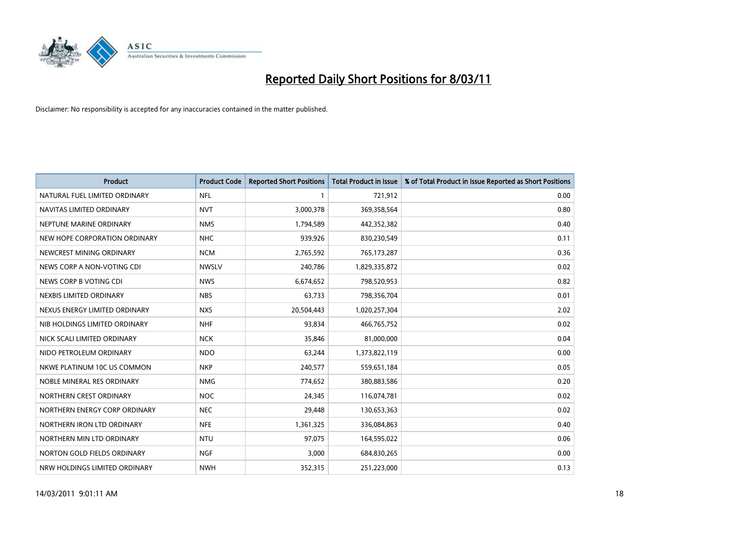

| <b>Product</b>                | <b>Product Code</b> | <b>Reported Short Positions</b> | <b>Total Product in Issue</b> | % of Total Product in Issue Reported as Short Positions |
|-------------------------------|---------------------|---------------------------------|-------------------------------|---------------------------------------------------------|
| NATURAL FUEL LIMITED ORDINARY | <b>NFL</b>          |                                 | 721,912                       | 0.00                                                    |
| NAVITAS LIMITED ORDINARY      | <b>NVT</b>          | 3,000,378                       | 369,358,564                   | 0.80                                                    |
| NEPTUNE MARINE ORDINARY       | <b>NMS</b>          | 1,794,589                       | 442,352,382                   | 0.40                                                    |
| NEW HOPE CORPORATION ORDINARY | <b>NHC</b>          | 939,926                         | 830,230,549                   | 0.11                                                    |
| NEWCREST MINING ORDINARY      | <b>NCM</b>          | 2,765,592                       | 765,173,287                   | 0.36                                                    |
| NEWS CORP A NON-VOTING CDI    | <b>NWSLV</b>        | 240,786                         | 1,829,335,872                 | 0.02                                                    |
| NEWS CORP B VOTING CDI        | <b>NWS</b>          | 6,674,652                       | 798,520,953                   | 0.82                                                    |
| NEXBIS LIMITED ORDINARY       | <b>NBS</b>          | 63,733                          | 798,356,704                   | 0.01                                                    |
| NEXUS ENERGY LIMITED ORDINARY | <b>NXS</b>          | 20,504,443                      | 1,020,257,304                 | 2.02                                                    |
| NIB HOLDINGS LIMITED ORDINARY | <b>NHF</b>          | 93,834                          | 466,765,752                   | 0.02                                                    |
| NICK SCALI LIMITED ORDINARY   | <b>NCK</b>          | 35,846                          | 81,000,000                    | 0.04                                                    |
| NIDO PETROLEUM ORDINARY       | <b>NDO</b>          | 63,244                          | 1,373,822,119                 | 0.00                                                    |
| NKWE PLATINUM 10C US COMMON   | <b>NKP</b>          | 240,577                         | 559,651,184                   | 0.05                                                    |
| NOBLE MINERAL RES ORDINARY    | <b>NMG</b>          | 774,652                         | 380,883,586                   | 0.20                                                    |
| NORTHERN CREST ORDINARY       | NOC                 | 24,345                          | 116,074,781                   | 0.02                                                    |
| NORTHERN ENERGY CORP ORDINARY | <b>NEC</b>          | 29,448                          | 130,653,363                   | 0.02                                                    |
| NORTHERN IRON LTD ORDINARY    | <b>NFE</b>          | 1,361,325                       | 336,084,863                   | 0.40                                                    |
| NORTHERN MIN LTD ORDINARY     | <b>NTU</b>          | 97,075                          | 164,595,022                   | 0.06                                                    |
| NORTON GOLD FIELDS ORDINARY   | <b>NGF</b>          | 3,000                           | 684,830,265                   | 0.00                                                    |
| NRW HOLDINGS LIMITED ORDINARY | <b>NWH</b>          | 352,315                         | 251,223,000                   | 0.13                                                    |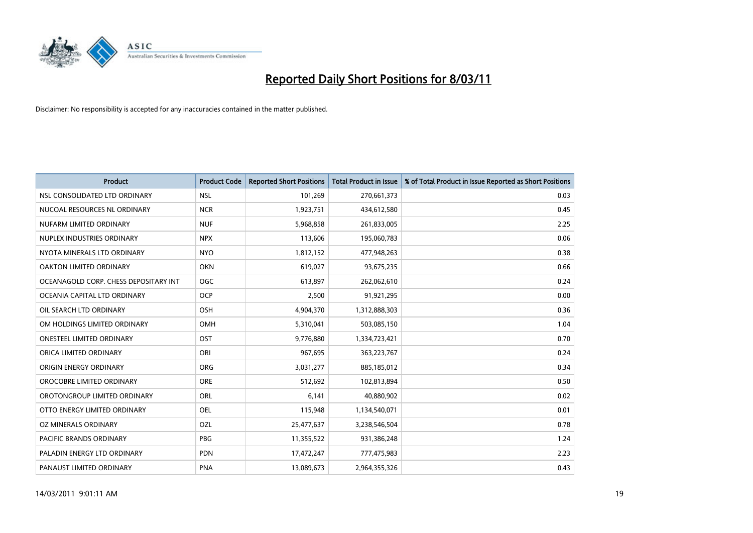

| <b>Product</b>                        | <b>Product Code</b> | <b>Reported Short Positions</b> | <b>Total Product in Issue</b> | % of Total Product in Issue Reported as Short Positions |
|---------------------------------------|---------------------|---------------------------------|-------------------------------|---------------------------------------------------------|
| NSL CONSOLIDATED LTD ORDINARY         | <b>NSL</b>          | 101,269                         | 270,661,373                   | 0.03                                                    |
| NUCOAL RESOURCES NL ORDINARY          | <b>NCR</b>          | 1,923,751                       | 434,612,580                   | 0.45                                                    |
| NUFARM LIMITED ORDINARY               | <b>NUF</b>          | 5,968,858                       | 261,833,005                   | 2.25                                                    |
| NUPLEX INDUSTRIES ORDINARY            | <b>NPX</b>          | 113,606                         | 195,060,783                   | 0.06                                                    |
| NYOTA MINERALS LTD ORDINARY           | <b>NYO</b>          | 1,812,152                       | 477,948,263                   | 0.38                                                    |
| OAKTON LIMITED ORDINARY               | <b>OKN</b>          | 619,027                         | 93,675,235                    | 0.66                                                    |
| OCEANAGOLD CORP. CHESS DEPOSITARY INT | <b>OGC</b>          | 613,897                         | 262,062,610                   | 0.24                                                    |
| OCEANIA CAPITAL LTD ORDINARY          | <b>OCP</b>          | 2,500                           | 91,921,295                    | 0.00                                                    |
| OIL SEARCH LTD ORDINARY               | OSH                 | 4,904,370                       | 1,312,888,303                 | 0.36                                                    |
| OM HOLDINGS LIMITED ORDINARY          | OMH                 | 5,310,041                       | 503,085,150                   | 1.04                                                    |
| <b>ONESTEEL LIMITED ORDINARY</b>      | OST                 | 9,776,880                       | 1,334,723,421                 | 0.70                                                    |
| ORICA LIMITED ORDINARY                | ORI                 | 967,695                         | 363,223,767                   | 0.24                                                    |
| ORIGIN ENERGY ORDINARY                | <b>ORG</b>          | 3,031,277                       | 885,185,012                   | 0.34                                                    |
| OROCOBRE LIMITED ORDINARY             | <b>ORE</b>          | 512,692                         | 102,813,894                   | 0.50                                                    |
| OROTONGROUP LIMITED ORDINARY          | <b>ORL</b>          | 6,141                           | 40,880,902                    | 0.02                                                    |
| OTTO ENERGY LIMITED ORDINARY          | OEL                 | 115,948                         | 1,134,540,071                 | 0.01                                                    |
| OZ MINERALS ORDINARY                  | OZL                 | 25,477,637                      | 3,238,546,504                 | 0.78                                                    |
| PACIFIC BRANDS ORDINARY               | <b>PBG</b>          | 11,355,522                      | 931,386,248                   | 1.24                                                    |
| PALADIN ENERGY LTD ORDINARY           | <b>PDN</b>          | 17,472,247                      | 777,475,983                   | 2.23                                                    |
| PANAUST LIMITED ORDINARY              | <b>PNA</b>          | 13,089,673                      | 2,964,355,326                 | 0.43                                                    |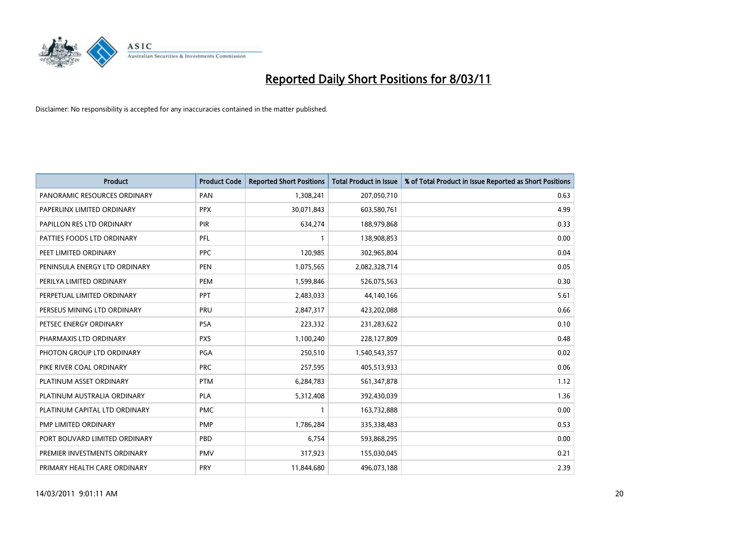

| <b>Product</b>                | <b>Product Code</b> | <b>Reported Short Positions</b> | Total Product in Issue | % of Total Product in Issue Reported as Short Positions |
|-------------------------------|---------------------|---------------------------------|------------------------|---------------------------------------------------------|
| PANORAMIC RESOURCES ORDINARY  | PAN                 | 1,308,241                       | 207,050,710            | 0.63                                                    |
| PAPERLINX LIMITED ORDINARY    | <b>PPX</b>          | 30,071,843                      | 603,580,761            | 4.99                                                    |
| PAPILLON RES LTD ORDINARY     | PIR                 | 634,274                         | 188,979,868            | 0.33                                                    |
| PATTIES FOODS LTD ORDINARY    | PFL                 |                                 | 138,908,853            | 0.00                                                    |
| PEET LIMITED ORDINARY         | <b>PPC</b>          | 120,985                         | 302,965,804            | 0.04                                                    |
| PENINSULA ENERGY LTD ORDINARY | <b>PEN</b>          | 1,075,565                       | 2,082,328,714          | 0.05                                                    |
| PERILYA LIMITED ORDINARY      | PEM                 | 1,599,846                       | 526,075,563            | 0.30                                                    |
| PERPETUAL LIMITED ORDINARY    | PPT                 | 2,483,033                       | 44,140,166             | 5.61                                                    |
| PERSEUS MINING LTD ORDINARY   | PRU                 | 2,847,317                       | 423,202,088            | 0.66                                                    |
| PETSEC ENERGY ORDINARY        | <b>PSA</b>          | 223,332                         | 231,283,622            | 0.10                                                    |
| PHARMAXIS LTD ORDINARY        | <b>PXS</b>          | 1,100,240                       | 228,127,809            | 0.48                                                    |
| PHOTON GROUP LTD ORDINARY     | <b>PGA</b>          | 250,510                         | 1,540,543,357          | 0.02                                                    |
| PIKE RIVER COAL ORDINARY      | <b>PRC</b>          | 257,595                         | 405,513,933            | 0.06                                                    |
| PLATINUM ASSET ORDINARY       | <b>PTM</b>          | 6,284,783                       | 561,347,878            | 1.12                                                    |
| PLATINUM AUSTRALIA ORDINARY   | <b>PLA</b>          | 5,312,408                       | 392,430,039            | 1.36                                                    |
| PLATINUM CAPITAL LTD ORDINARY | <b>PMC</b>          |                                 | 163,732,888            | 0.00                                                    |
| PMP LIMITED ORDINARY          | <b>PMP</b>          | 1,786,284                       | 335,338,483            | 0.53                                                    |
| PORT BOUVARD LIMITED ORDINARY | PBD                 | 6,754                           | 593,868,295            | 0.00                                                    |
| PREMIER INVESTMENTS ORDINARY  | <b>PMV</b>          | 317,923                         | 155,030,045            | 0.21                                                    |
| PRIMARY HEALTH CARE ORDINARY  | <b>PRY</b>          | 11,844,680                      | 496,073,188            | 2.39                                                    |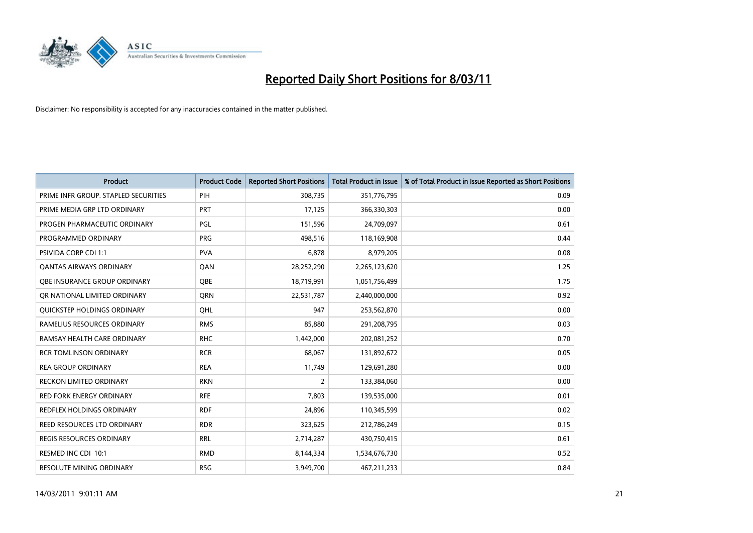

| <b>Product</b>                       | <b>Product Code</b> | <b>Reported Short Positions</b> | Total Product in Issue | % of Total Product in Issue Reported as Short Positions |
|--------------------------------------|---------------------|---------------------------------|------------------------|---------------------------------------------------------|
| PRIME INFR GROUP. STAPLED SECURITIES | PIH                 | 308,735                         | 351,776,795            | 0.09                                                    |
| PRIME MEDIA GRP LTD ORDINARY         | <b>PRT</b>          | 17,125                          | 366,330,303            | 0.00                                                    |
| PROGEN PHARMACEUTIC ORDINARY         | PGL                 | 151,596                         | 24,709,097             | 0.61                                                    |
| PROGRAMMED ORDINARY                  | <b>PRG</b>          | 498,516                         | 118,169,908            | 0.44                                                    |
| <b>PSIVIDA CORP CDI 1:1</b>          | <b>PVA</b>          | 6,878                           | 8,979,205              | 0.08                                                    |
| <b>QANTAS AIRWAYS ORDINARY</b>       | QAN                 | 28,252,290                      | 2,265,123,620          | 1.25                                                    |
| OBE INSURANCE GROUP ORDINARY         | <b>OBE</b>          | 18,719,991                      | 1,051,756,499          | 1.75                                                    |
| OR NATIONAL LIMITED ORDINARY         | <b>ORN</b>          | 22,531,787                      | 2,440,000,000          | 0.92                                                    |
| QUICKSTEP HOLDINGS ORDINARY          | OHL                 | 947                             | 253,562,870            | 0.00                                                    |
| RAMELIUS RESOURCES ORDINARY          | <b>RMS</b>          | 85,880                          | 291,208,795            | 0.03                                                    |
| RAMSAY HEALTH CARE ORDINARY          | <b>RHC</b>          | 1,442,000                       | 202,081,252            | 0.70                                                    |
| <b>RCR TOMLINSON ORDINARY</b>        | <b>RCR</b>          | 68,067                          | 131,892,672            | 0.05                                                    |
| <b>REA GROUP ORDINARY</b>            | <b>REA</b>          | 11,749                          | 129,691,280            | 0.00                                                    |
| <b>RECKON LIMITED ORDINARY</b>       | <b>RKN</b>          | $\overline{2}$                  | 133,384,060            | 0.00                                                    |
| <b>RED FORK ENERGY ORDINARY</b>      | <b>RFE</b>          | 7,803                           | 139,535,000            | 0.01                                                    |
| <b>REDFLEX HOLDINGS ORDINARY</b>     | <b>RDF</b>          | 24,896                          | 110,345,599            | 0.02                                                    |
| REED RESOURCES LTD ORDINARY          | <b>RDR</b>          | 323,625                         | 212,786,249            | 0.15                                                    |
| REGIS RESOURCES ORDINARY             | <b>RRL</b>          | 2,714,287                       | 430,750,415            | 0.61                                                    |
| RESMED INC CDI 10:1                  | <b>RMD</b>          | 8,144,334                       | 1,534,676,730          | 0.52                                                    |
| <b>RESOLUTE MINING ORDINARY</b>      | <b>RSG</b>          | 3.949.700                       | 467,211,233            | 0.84                                                    |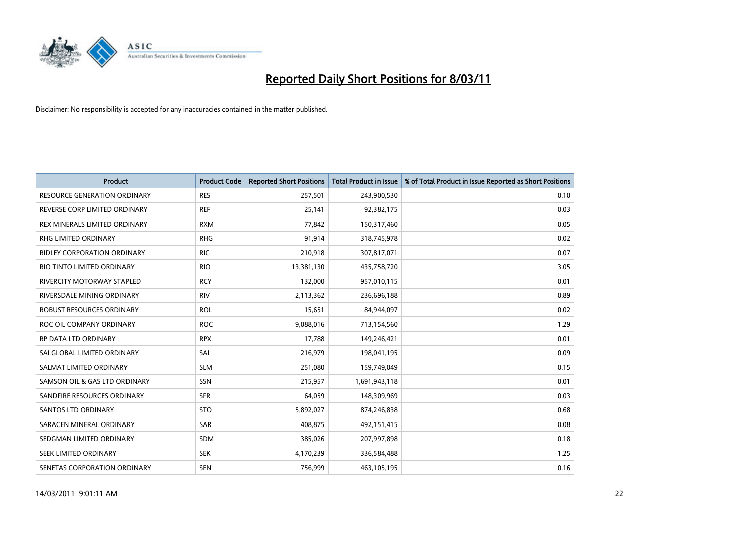

| <b>Product</b>                      | <b>Product Code</b> | <b>Reported Short Positions</b> | <b>Total Product in Issue</b> | % of Total Product in Issue Reported as Short Positions |
|-------------------------------------|---------------------|---------------------------------|-------------------------------|---------------------------------------------------------|
| <b>RESOURCE GENERATION ORDINARY</b> | <b>RES</b>          | 257,501                         | 243,900,530                   | 0.10                                                    |
| REVERSE CORP LIMITED ORDINARY       | <b>REF</b>          | 25,141                          | 92,382,175                    | 0.03                                                    |
| REX MINERALS LIMITED ORDINARY       | <b>RXM</b>          | 77,842                          | 150,317,460                   | 0.05                                                    |
| RHG LIMITED ORDINARY                | <b>RHG</b>          | 91,914                          | 318,745,978                   | 0.02                                                    |
| <b>RIDLEY CORPORATION ORDINARY</b>  | <b>RIC</b>          | 210,918                         | 307,817,071                   | 0.07                                                    |
| RIO TINTO LIMITED ORDINARY          | <b>RIO</b>          | 13,381,130                      | 435,758,720                   | 3.05                                                    |
| <b>RIVERCITY MOTORWAY STAPLED</b>   | <b>RCY</b>          | 132,000                         | 957,010,115                   | 0.01                                                    |
| RIVERSDALE MINING ORDINARY          | <b>RIV</b>          | 2,113,362                       | 236,696,188                   | 0.89                                                    |
| ROBUST RESOURCES ORDINARY           | <b>ROL</b>          | 15,651                          | 84,944,097                    | 0.02                                                    |
| ROC OIL COMPANY ORDINARY            | <b>ROC</b>          | 9,088,016                       | 713,154,560                   | 1.29                                                    |
| RP DATA LTD ORDINARY                | <b>RPX</b>          | 17,788                          | 149,246,421                   | 0.01                                                    |
| SAI GLOBAL LIMITED ORDINARY         | SAI                 | 216,979                         | 198,041,195                   | 0.09                                                    |
| SALMAT LIMITED ORDINARY             | <b>SLM</b>          | 251,080                         | 159,749,049                   | 0.15                                                    |
| SAMSON OIL & GAS LTD ORDINARY       | <b>SSN</b>          | 215,957                         | 1,691,943,118                 | 0.01                                                    |
| SANDFIRE RESOURCES ORDINARY         | <b>SFR</b>          | 64,059                          | 148,309,969                   | 0.03                                                    |
| <b>SANTOS LTD ORDINARY</b>          | <b>STO</b>          | 5,892,027                       | 874,246,838                   | 0.68                                                    |
| SARACEN MINERAL ORDINARY            | <b>SAR</b>          | 408,875                         | 492,151,415                   | 0.08                                                    |
| SEDGMAN LIMITED ORDINARY            | <b>SDM</b>          | 385,026                         | 207,997,898                   | 0.18                                                    |
| SEEK LIMITED ORDINARY               | <b>SEK</b>          | 4,170,239                       | 336,584,488                   | 1.25                                                    |
| SENETAS CORPORATION ORDINARY        | <b>SEN</b>          | 756,999                         | 463,105,195                   | 0.16                                                    |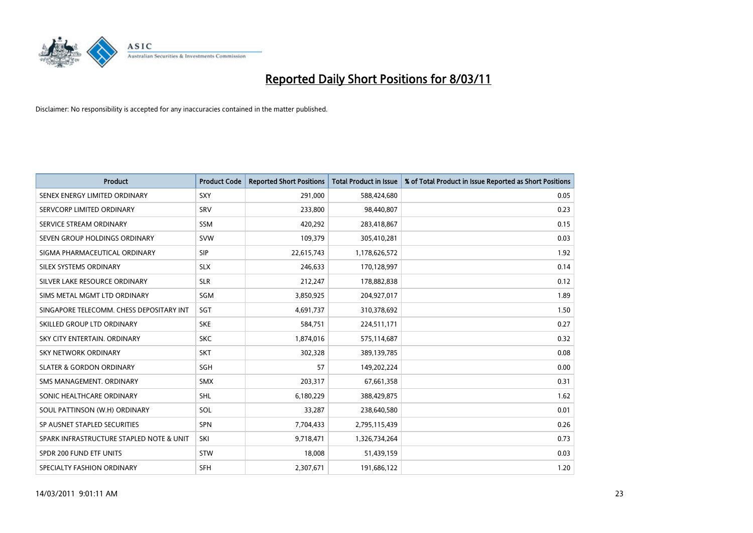

| Product                                  | <b>Product Code</b> | <b>Reported Short Positions</b> | <b>Total Product in Issue</b> | % of Total Product in Issue Reported as Short Positions |
|------------------------------------------|---------------------|---------------------------------|-------------------------------|---------------------------------------------------------|
| SENEX ENERGY LIMITED ORDINARY            | <b>SXY</b>          | 291,000                         | 588,424,680                   | 0.05                                                    |
| SERVCORP LIMITED ORDINARY                | SRV                 | 233,800                         | 98,440,807                    | 0.23                                                    |
| SERVICE STREAM ORDINARY                  | <b>SSM</b>          | 420,292                         | 283,418,867                   | 0.15                                                    |
| SEVEN GROUP HOLDINGS ORDINARY            | <b>SVW</b>          | 109,379                         | 305,410,281                   | 0.03                                                    |
| SIGMA PHARMACEUTICAL ORDINARY            | <b>SIP</b>          | 22,615,743                      | 1,178,626,572                 | 1.92                                                    |
| SILEX SYSTEMS ORDINARY                   | <b>SLX</b>          | 246,633                         | 170,128,997                   | 0.14                                                    |
| SILVER LAKE RESOURCE ORDINARY            | <b>SLR</b>          | 212,247                         | 178,882,838                   | 0.12                                                    |
| SIMS METAL MGMT LTD ORDINARY             | <b>SGM</b>          | 3,850,925                       | 204,927,017                   | 1.89                                                    |
| SINGAPORE TELECOMM. CHESS DEPOSITARY INT | SGT                 | 4,691,737                       | 310,378,692                   | 1.50                                                    |
| SKILLED GROUP LTD ORDINARY               | <b>SKE</b>          | 584,751                         | 224,511,171                   | 0.27                                                    |
| SKY CITY ENTERTAIN, ORDINARY             | <b>SKC</b>          | 1,874,016                       | 575,114,687                   | 0.32                                                    |
| <b>SKY NETWORK ORDINARY</b>              | <b>SKT</b>          | 302,328                         | 389,139,785                   | 0.08                                                    |
| <b>SLATER &amp; GORDON ORDINARY</b>      | <b>SGH</b>          | 57                              | 149,202,224                   | 0.00                                                    |
| SMS MANAGEMENT, ORDINARY                 | <b>SMX</b>          | 203,317                         | 67,661,358                    | 0.31                                                    |
| SONIC HEALTHCARE ORDINARY                | <b>SHL</b>          | 6,180,229                       | 388,429,875                   | 1.62                                                    |
| SOUL PATTINSON (W.H) ORDINARY            | SOL                 | 33,287                          | 238,640,580                   | 0.01                                                    |
| SP AUSNET STAPLED SECURITIES             | <b>SPN</b>          | 7,704,433                       | 2,795,115,439                 | 0.26                                                    |
| SPARK INFRASTRUCTURE STAPLED NOTE & UNIT | SKI                 | 9,718,471                       | 1,326,734,264                 | 0.73                                                    |
| SPDR 200 FUND ETF UNITS                  | <b>STW</b>          | 18,008                          | 51,439,159                    | 0.03                                                    |
| SPECIALTY FASHION ORDINARY               | <b>SFH</b>          | 2,307,671                       | 191,686,122                   | 1.20                                                    |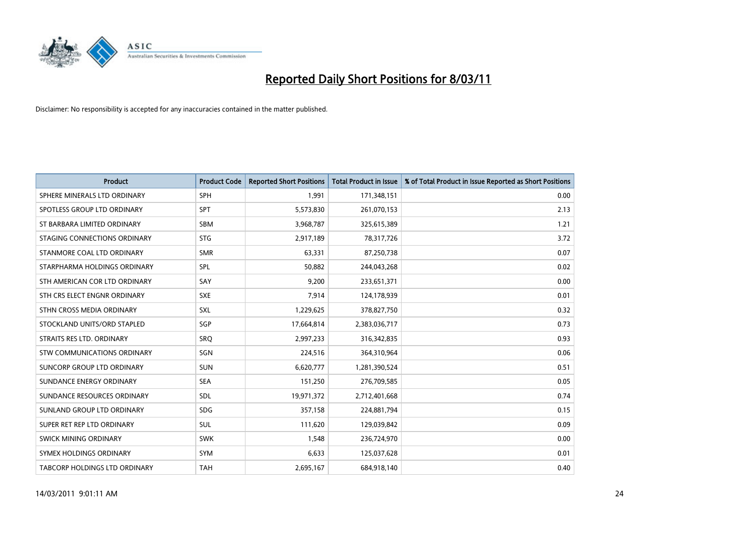

| <b>Product</b>                       | <b>Product Code</b> | <b>Reported Short Positions</b> | <b>Total Product in Issue</b> | % of Total Product in Issue Reported as Short Positions |
|--------------------------------------|---------------------|---------------------------------|-------------------------------|---------------------------------------------------------|
| SPHERE MINERALS LTD ORDINARY         | <b>SPH</b>          | 1,991                           | 171,348,151                   | 0.00                                                    |
| SPOTLESS GROUP LTD ORDINARY          | <b>SPT</b>          | 5,573,830                       | 261,070,153                   | 2.13                                                    |
| ST BARBARA LIMITED ORDINARY          | <b>SBM</b>          | 3,968,787                       | 325,615,389                   | 1.21                                                    |
| STAGING CONNECTIONS ORDINARY         | <b>STG</b>          | 2,917,189                       | 78,317,726                    | 3.72                                                    |
| STANMORE COAL LTD ORDINARY           | <b>SMR</b>          | 63,331                          | 87,250,738                    | 0.07                                                    |
| STARPHARMA HOLDINGS ORDINARY         | SPL                 | 50,882                          | 244,043,268                   | 0.02                                                    |
| STH AMERICAN COR LTD ORDINARY        | SAY                 | 9,200                           | 233,651,371                   | 0.00                                                    |
| STH CRS ELECT ENGNR ORDINARY         | <b>SXE</b>          | 7,914                           | 124,178,939                   | 0.01                                                    |
| STHN CROSS MEDIA ORDINARY            | SXL                 | 1,229,625                       | 378,827,750                   | 0.32                                                    |
| STOCKLAND UNITS/ORD STAPLED          | SGP                 | 17,664,814                      | 2,383,036,717                 | 0.73                                                    |
| STRAITS RES LTD. ORDINARY            | SRQ                 | 2,997,233                       | 316,342,835                   | 0.93                                                    |
| STW COMMUNICATIONS ORDINARY          | SGN                 | 224,516                         | 364,310,964                   | 0.06                                                    |
| SUNCORP GROUP LTD ORDINARY           | <b>SUN</b>          | 6,620,777                       | 1,281,390,524                 | 0.51                                                    |
| SUNDANCE ENERGY ORDINARY             | <b>SEA</b>          | 151,250                         | 276,709,585                   | 0.05                                                    |
| SUNDANCE RESOURCES ORDINARY          | SDL                 | 19,971,372                      | 2,712,401,668                 | 0.74                                                    |
| SUNLAND GROUP LTD ORDINARY           | <b>SDG</b>          | 357,158                         | 224,881,794                   | 0.15                                                    |
| SUPER RET REP LTD ORDINARY           | <b>SUL</b>          | 111,620                         | 129,039,842                   | 0.09                                                    |
| SWICK MINING ORDINARY                | <b>SWK</b>          | 1,548                           | 236,724,970                   | 0.00                                                    |
| SYMEX HOLDINGS ORDINARY              | <b>SYM</b>          | 6,633                           | 125,037,628                   | 0.01                                                    |
| <b>TABCORP HOLDINGS LTD ORDINARY</b> | <b>TAH</b>          | 2,695,167                       | 684,918,140                   | 0.40                                                    |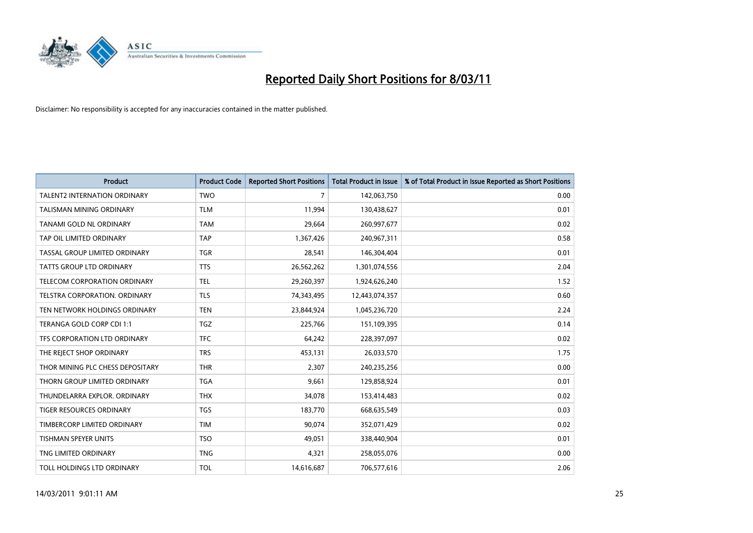

| <b>Product</b>                      | <b>Product Code</b> | <b>Reported Short Positions</b> | <b>Total Product in Issue</b> | % of Total Product in Issue Reported as Short Positions |
|-------------------------------------|---------------------|---------------------------------|-------------------------------|---------------------------------------------------------|
| <b>TALENT2 INTERNATION ORDINARY</b> | <b>TWO</b>          | 7                               | 142,063,750                   | 0.00                                                    |
| TALISMAN MINING ORDINARY            | <b>TLM</b>          | 11,994                          | 130,438,627                   | 0.01                                                    |
| TANAMI GOLD NL ORDINARY             | <b>TAM</b>          | 29,664                          | 260,997,677                   | 0.02                                                    |
| TAP OIL LIMITED ORDINARY            | <b>TAP</b>          | 1,367,426                       | 240,967,311                   | 0.58                                                    |
| TASSAL GROUP LIMITED ORDINARY       | <b>TGR</b>          | 28,541                          | 146,304,404                   | 0.01                                                    |
| <b>TATTS GROUP LTD ORDINARY</b>     | <b>TTS</b>          | 26,562,262                      | 1,301,074,556                 | 2.04                                                    |
| TELECOM CORPORATION ORDINARY        | <b>TEL</b>          | 29,260,397                      | 1,924,626,240                 | 1.52                                                    |
| TELSTRA CORPORATION. ORDINARY       | <b>TLS</b>          | 74,343,495                      | 12,443,074,357                | 0.60                                                    |
| TEN NETWORK HOLDINGS ORDINARY       | <b>TEN</b>          | 23,844,924                      | 1,045,236,720                 | 2.24                                                    |
| TERANGA GOLD CORP CDI 1:1           | <b>TGZ</b>          | 225,766                         | 151,109,395                   | 0.14                                                    |
| TFS CORPORATION LTD ORDINARY        | <b>TFC</b>          | 64,242                          | 228,397,097                   | 0.02                                                    |
| THE REJECT SHOP ORDINARY            | <b>TRS</b>          | 453,131                         | 26,033,570                    | 1.75                                                    |
| THOR MINING PLC CHESS DEPOSITARY    | <b>THR</b>          | 2,307                           | 240,235,256                   | 0.00                                                    |
| THORN GROUP LIMITED ORDINARY        | <b>TGA</b>          | 9,661                           | 129,858,924                   | 0.01                                                    |
| THUNDELARRA EXPLOR. ORDINARY        | <b>THX</b>          | 34,078                          | 153,414,483                   | 0.02                                                    |
| TIGER RESOURCES ORDINARY            | <b>TGS</b>          | 183,770                         | 668,635,549                   | 0.03                                                    |
| TIMBERCORP LIMITED ORDINARY         | <b>TIM</b>          | 90,074                          | 352,071,429                   | 0.02                                                    |
| TISHMAN SPEYER UNITS                | <b>TSO</b>          | 49,051                          | 338,440,904                   | 0.01                                                    |
| TNG LIMITED ORDINARY                | <b>TNG</b>          | 4,321                           | 258,055,076                   | 0.00                                                    |
| TOLL HOLDINGS LTD ORDINARY          | <b>TOL</b>          | 14,616,687                      | 706,577,616                   | 2.06                                                    |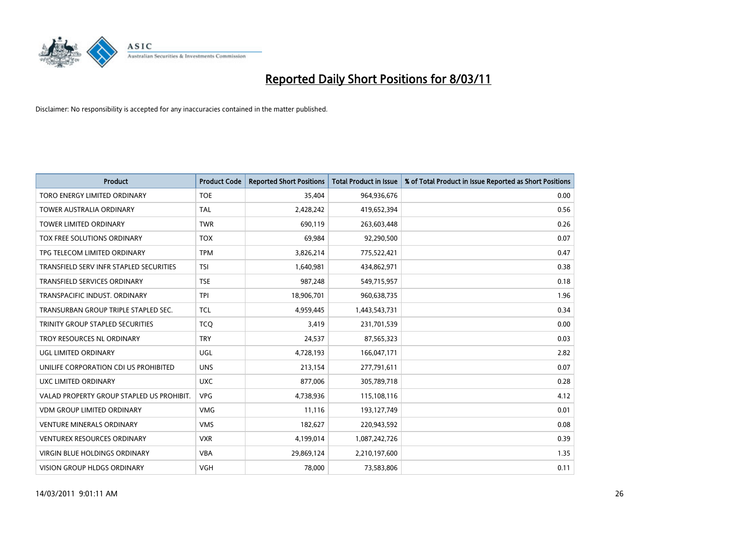

| <b>Product</b>                            | <b>Product Code</b> | <b>Reported Short Positions</b> | Total Product in Issue | % of Total Product in Issue Reported as Short Positions |
|-------------------------------------------|---------------------|---------------------------------|------------------------|---------------------------------------------------------|
| TORO ENERGY LIMITED ORDINARY              | <b>TOE</b>          | 35,404                          | 964,936,676            | 0.00                                                    |
| <b>TOWER AUSTRALIA ORDINARY</b>           | <b>TAL</b>          | 2,428,242                       | 419,652,394            | 0.56                                                    |
| <b>TOWER LIMITED ORDINARY</b>             | <b>TWR</b>          | 690,119                         | 263,603,448            | 0.26                                                    |
| TOX FREE SOLUTIONS ORDINARY               | <b>TOX</b>          | 69,984                          | 92,290,500             | 0.07                                                    |
| TPG TELECOM LIMITED ORDINARY              | <b>TPM</b>          | 3,826,214                       | 775,522,421            | 0.47                                                    |
| TRANSFIELD SERV INFR STAPLED SECURITIES   | <b>TSI</b>          | 1,640,981                       | 434,862,971            | 0.38                                                    |
| <b>TRANSFIELD SERVICES ORDINARY</b>       | <b>TSE</b>          | 987.248                         | 549,715,957            | 0.18                                                    |
| TRANSPACIFIC INDUST, ORDINARY             | <b>TPI</b>          | 18,906,701                      | 960,638,735            | 1.96                                                    |
| TRANSURBAN GROUP TRIPLE STAPLED SEC.      | <b>TCL</b>          | 4,959,445                       | 1,443,543,731          | 0.34                                                    |
| TRINITY GROUP STAPLED SECURITIES          | <b>TCO</b>          | 3,419                           | 231,701,539            | 0.00                                                    |
| TROY RESOURCES NL ORDINARY                | <b>TRY</b>          | 24,537                          | 87,565,323             | 0.03                                                    |
| UGL LIMITED ORDINARY                      | UGL                 | 4,728,193                       | 166,047,171            | 2.82                                                    |
| UNILIFE CORPORATION CDI US PROHIBITED     | <b>UNS</b>          | 213,154                         | 277,791,611            | 0.07                                                    |
| <b>UXC LIMITED ORDINARY</b>               | <b>UXC</b>          | 877,006                         | 305,789,718            | 0.28                                                    |
| VALAD PROPERTY GROUP STAPLED US PROHIBIT. | <b>VPG</b>          | 4,738,936                       | 115,108,116            | 4.12                                                    |
| <b>VDM GROUP LIMITED ORDINARY</b>         | <b>VMG</b>          | 11,116                          | 193,127,749            | 0.01                                                    |
| <b>VENTURE MINERALS ORDINARY</b>          | <b>VMS</b>          | 182,627                         | 220,943,592            | 0.08                                                    |
| VENTUREX RESOURCES ORDINARY               | <b>VXR</b>          | 4,199,014                       | 1,087,242,726          | 0.39                                                    |
| <b>VIRGIN BLUE HOLDINGS ORDINARY</b>      | <b>VBA</b>          | 29,869,124                      | 2,210,197,600          | 1.35                                                    |
| <b>VISION GROUP HLDGS ORDINARY</b>        | <b>VGH</b>          | 78.000                          | 73,583,806             | 0.11                                                    |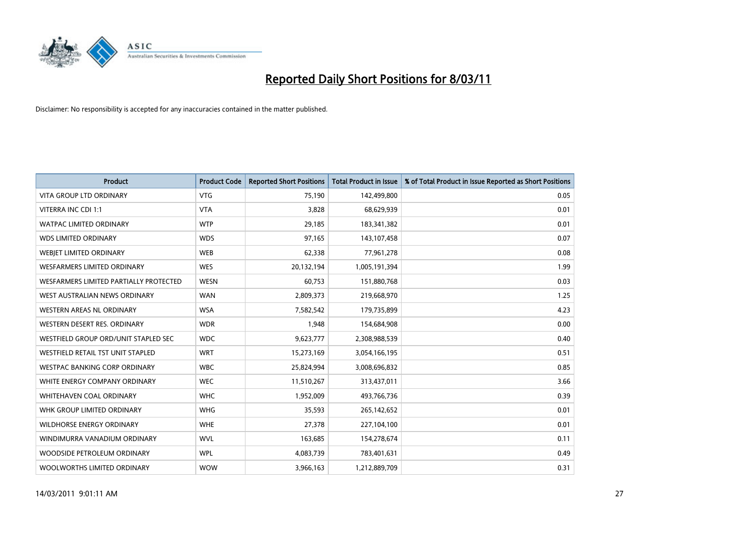

| Product                                | <b>Product Code</b> | <b>Reported Short Positions</b> | <b>Total Product in Issue</b> | % of Total Product in Issue Reported as Short Positions |
|----------------------------------------|---------------------|---------------------------------|-------------------------------|---------------------------------------------------------|
| <b>VITA GROUP LTD ORDINARY</b>         | <b>VTG</b>          | 75,190                          | 142,499,800                   | 0.05                                                    |
| VITERRA INC CDI 1:1                    | <b>VTA</b>          | 3,828                           | 68,629,939                    | 0.01                                                    |
| <b>WATPAC LIMITED ORDINARY</b>         | <b>WTP</b>          | 29,185                          | 183,341,382                   | 0.01                                                    |
| <b>WDS LIMITED ORDINARY</b>            | <b>WDS</b>          | 97,165                          | 143,107,458                   | 0.07                                                    |
| WEBIET LIMITED ORDINARY                | <b>WEB</b>          | 62,338                          | 77,961,278                    | 0.08                                                    |
| <b>WESFARMERS LIMITED ORDINARY</b>     | <b>WES</b>          | 20,132,194                      | 1,005,191,394                 | 1.99                                                    |
| WESFARMERS LIMITED PARTIALLY PROTECTED | <b>WESN</b>         | 60,753                          | 151,880,768                   | 0.03                                                    |
| WEST AUSTRALIAN NEWS ORDINARY          | <b>WAN</b>          | 2,809,373                       | 219,668,970                   | 1.25                                                    |
| WESTERN AREAS NL ORDINARY              | <b>WSA</b>          | 7,582,542                       | 179,735,899                   | 4.23                                                    |
| WESTERN DESERT RES. ORDINARY           | <b>WDR</b>          | 1,948                           | 154,684,908                   | 0.00                                                    |
| WESTFIELD GROUP ORD/UNIT STAPLED SEC   | <b>WDC</b>          | 9,623,777                       | 2,308,988,539                 | 0.40                                                    |
| WESTFIELD RETAIL TST UNIT STAPLED      | <b>WRT</b>          | 15,273,169                      | 3,054,166,195                 | 0.51                                                    |
| <b>WESTPAC BANKING CORP ORDINARY</b>   | <b>WBC</b>          | 25,824,994                      | 3,008,696,832                 | 0.85                                                    |
| WHITE ENERGY COMPANY ORDINARY          | <b>WEC</b>          | 11,510,267                      | 313,437,011                   | 3.66                                                    |
| WHITEHAVEN COAL ORDINARY               | <b>WHC</b>          | 1,952,009                       | 493,766,736                   | 0.39                                                    |
| WHK GROUP LIMITED ORDINARY             | <b>WHG</b>          | 35,593                          | 265,142,652                   | 0.01                                                    |
| <b>WILDHORSE ENERGY ORDINARY</b>       | <b>WHE</b>          | 27,378                          | 227,104,100                   | 0.01                                                    |
| WINDIMURRA VANADIUM ORDINARY           | <b>WVL</b>          | 163,685                         | 154,278,674                   | 0.11                                                    |
| WOODSIDE PETROLEUM ORDINARY            | <b>WPL</b>          | 4,083,739                       | 783,401,631                   | 0.49                                                    |
| WOOLWORTHS LIMITED ORDINARY            | <b>WOW</b>          | 3,966,163                       | 1,212,889,709                 | 0.31                                                    |